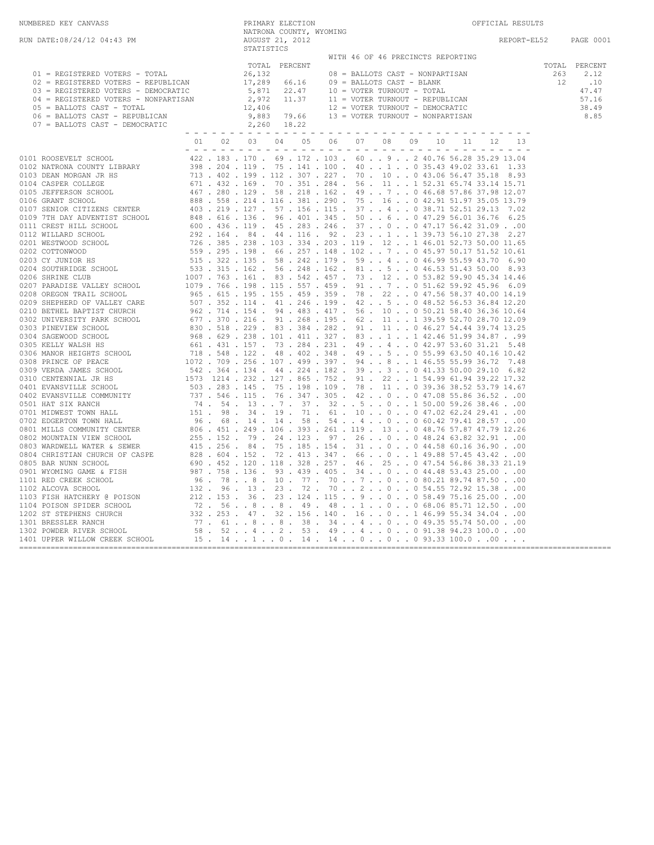| NUMBERED KEY CANVASS                                                                                                                                                                                                                                                                                                                       | PRIMARY ELECTION                                         |                                                                                                                                                                                  | OFFICIAL RESULTS |                                                         |
|--------------------------------------------------------------------------------------------------------------------------------------------------------------------------------------------------------------------------------------------------------------------------------------------------------------------------------------------|----------------------------------------------------------|----------------------------------------------------------------------------------------------------------------------------------------------------------------------------------|------------------|---------------------------------------------------------|
| RUN DATE:08/24/12 04:43 PM                                                                                                                                                                                                                                                                                                                 | NATRONA COUNTY, WYOMING<br>AUGUST 21, 2012<br>STATISTICS |                                                                                                                                                                                  | REPORT-EL52      | PAGE 0001                                               |
| 01 = REGISTERED VOTERS - TOTAL<br>02 = REGISTERED VOTERS - REPUBLICAN<br>03 = REGISTERED VOTERS - DEMOCRATIC                                                                                                                                                                                                                               | TOTAL PERCENT<br>26,132<br>17,289 66.16<br>5,871 22.47   | WITH 46 OF 46 PRECINCTS REPORTING<br>08 = BALLOTS CAST - NONPARTISAN<br>09 = BALLOTS CAST - BLANK<br>10 = VOTER TURNOUT - TOTAL<br>$2,972$ 11.37 11 = VOTER TURNOUT - REPUBLICAN | 263<br>12        | TOTAL PERCENT<br>2.12<br>.10<br>47.47<br>57.16<br>38.49 |
| $0.3 = REGISTERED VOTERS - NONPARTISAN$ $0.4 = REGISTERED VOTERS - NONPARTISAN$ $0.5 = BALLOTS CAST - TOTAL$ $0.6 = BALLOTS CAST - REPUBLICAN$ $0.6 = BALLOTS CAST - REPUBLICAN$ $0.883 79.66$ $0.7 = BALLOTS CAST - DEMOCRATIC$ $0.222$ $0.7 = 0.722$ $0.7 = 0.722$ $0.7 = 0.722$ $0.7 = 0.722$ $0.7 = 0.722$ $0.7 = 0.722$ $0.7 = 0.722$ |                                                          | $12,406$ $12 = \text{VOTER TURNOUT} - \text{DEMOCRATIC}$ $9,883$ $79.66$ $13 = \text{VOTER TURNOUT} - \text{NONPARTISAN}$                                                        |                  | 8.85                                                    |
|                                                                                                                                                                                                                                                                                                                                            |                                                          | 01  02  03  04  05  06  07  08  09  10  11  12                                                                                                                                   |                  |                                                         |
|                                                                                                                                                                                                                                                                                                                                            |                                                          |                                                                                                                                                                                  |                  |                                                         |
|                                                                                                                                                                                                                                                                                                                                            |                                                          |                                                                                                                                                                                  |                  |                                                         |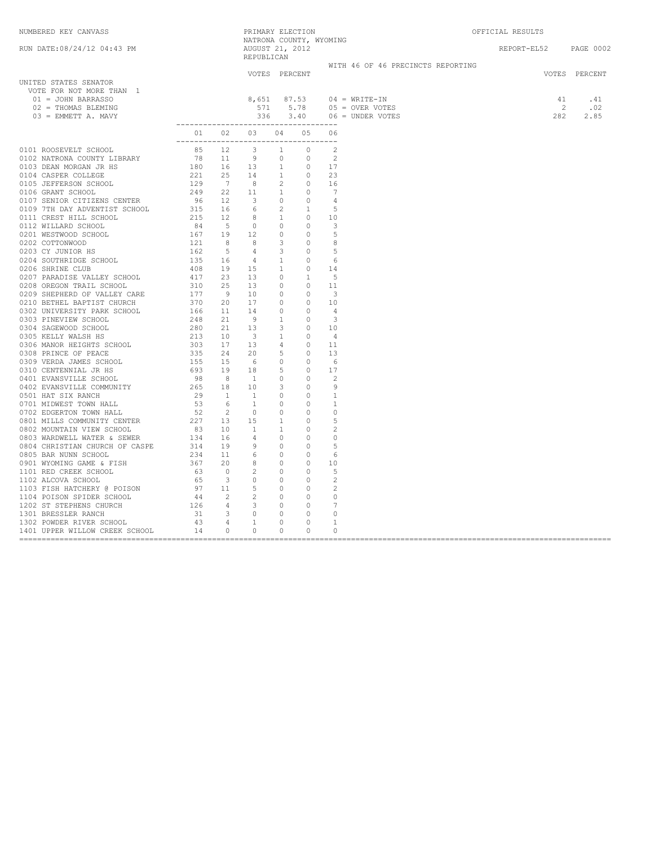NUMBERED KEY CANVASS PRIMARY ELECTION OFFICIAL RESULTS

| RUN DATE:08/24/12 04:43 PM                                                                                              |  | AUGUST 21, 2012<br>REPUBLICAN |  | NATRONA COUNTY, WYOMING |                                                                                    | REPORT-EL52 PAGE 0002                                               |               |
|-------------------------------------------------------------------------------------------------------------------------|--|-------------------------------|--|-------------------------|------------------------------------------------------------------------------------|---------------------------------------------------------------------|---------------|
|                                                                                                                         |  | VOTES PERCENT                 |  |                         | WITH 46 OF 46 PRECINCTS REPORTING                                                  |                                                                     | VOTES PERCENT |
| UNITED STATES SENATOR<br>VOTE FOR NOT MORE THAN 1<br>01 = JOHN BARRASSO<br>02 = THOMAS BLEMING<br>$03$ = EMMETT A. MAVY |  |                               |  |                         | 8,651 87.53 04 = WRITE-IN<br>571 5.78 05 = OVER VOTES<br>336 3.40 06 = UNDER VOTES | $\begin{array}{cccc} 41 & .41 \\ 2 & .02 \\ 282 & 2.85 \end{array}$ |               |
|                                                                                                                         |  | 01 02 03 04 05 06             |  |                         |                                                                                    |                                                                     |               |
|                                                                                                                         |  |                               |  |                         |                                                                                    |                                                                     |               |
|                                                                                                                         |  |                               |  |                         |                                                                                    |                                                                     |               |
|                                                                                                                         |  |                               |  |                         |                                                                                    |                                                                     |               |
|                                                                                                                         |  |                               |  |                         |                                                                                    |                                                                     |               |
|                                                                                                                         |  |                               |  |                         |                                                                                    |                                                                     |               |
|                                                                                                                         |  |                               |  |                         |                                                                                    |                                                                     |               |
|                                                                                                                         |  |                               |  |                         |                                                                                    |                                                                     |               |
|                                                                                                                         |  |                               |  |                         |                                                                                    |                                                                     |               |
|                                                                                                                         |  |                               |  |                         |                                                                                    |                                                                     |               |
|                                                                                                                         |  |                               |  |                         |                                                                                    |                                                                     |               |
|                                                                                                                         |  |                               |  |                         |                                                                                    |                                                                     |               |
|                                                                                                                         |  |                               |  |                         |                                                                                    |                                                                     |               |
|                                                                                                                         |  |                               |  |                         |                                                                                    |                                                                     |               |
|                                                                                                                         |  |                               |  |                         |                                                                                    |                                                                     |               |
|                                                                                                                         |  |                               |  |                         |                                                                                    |                                                                     |               |
|                                                                                                                         |  |                               |  |                         |                                                                                    |                                                                     |               |
|                                                                                                                         |  |                               |  |                         |                                                                                    |                                                                     |               |
|                                                                                                                         |  |                               |  |                         |                                                                                    |                                                                     |               |
|                                                                                                                         |  |                               |  |                         |                                                                                    |                                                                     |               |
|                                                                                                                         |  |                               |  |                         |                                                                                    |                                                                     |               |
|                                                                                                                         |  |                               |  |                         |                                                                                    |                                                                     |               |
|                                                                                                                         |  |                               |  |                         |                                                                                    |                                                                     |               |
|                                                                                                                         |  |                               |  |                         |                                                                                    |                                                                     |               |
|                                                                                                                         |  |                               |  |                         |                                                                                    |                                                                     |               |
|                                                                                                                         |  |                               |  |                         |                                                                                    |                                                                     |               |
|                                                                                                                         |  |                               |  |                         |                                                                                    |                                                                     |               |
|                                                                                                                         |  |                               |  |                         |                                                                                    |                                                                     |               |
|                                                                                                                         |  |                               |  |                         |                                                                                    |                                                                     |               |
|                                                                                                                         |  |                               |  |                         |                                                                                    |                                                                     |               |
|                                                                                                                         |  |                               |  |                         |                                                                                    |                                                                     |               |
|                                                                                                                         |  |                               |  |                         |                                                                                    |                                                                     |               |
|                                                                                                                         |  |                               |  |                         |                                                                                    |                                                                     |               |
|                                                                                                                         |  |                               |  |                         |                                                                                    |                                                                     |               |
|                                                                                                                         |  |                               |  |                         |                                                                                    |                                                                     |               |
|                                                                                                                         |  |                               |  |                         |                                                                                    |                                                                     |               |
|                                                                                                                         |  |                               |  |                         |                                                                                    |                                                                     |               |
|                                                                                                                         |  |                               |  |                         |                                                                                    |                                                                     |               |
|                                                                                                                         |  |                               |  |                         |                                                                                    |                                                                     |               |
|                                                                                                                         |  |                               |  |                         |                                                                                    |                                                                     |               |
|                                                                                                                         |  |                               |  |                         |                                                                                    |                                                                     |               |
|                                                                                                                         |  |                               |  |                         |                                                                                    |                                                                     |               |
|                                                                                                                         |  |                               |  |                         |                                                                                    |                                                                     |               |
|                                                                                                                         |  |                               |  |                         |                                                                                    |                                                                     |               |
|                                                                                                                         |  |                               |  |                         |                                                                                    |                                                                     |               |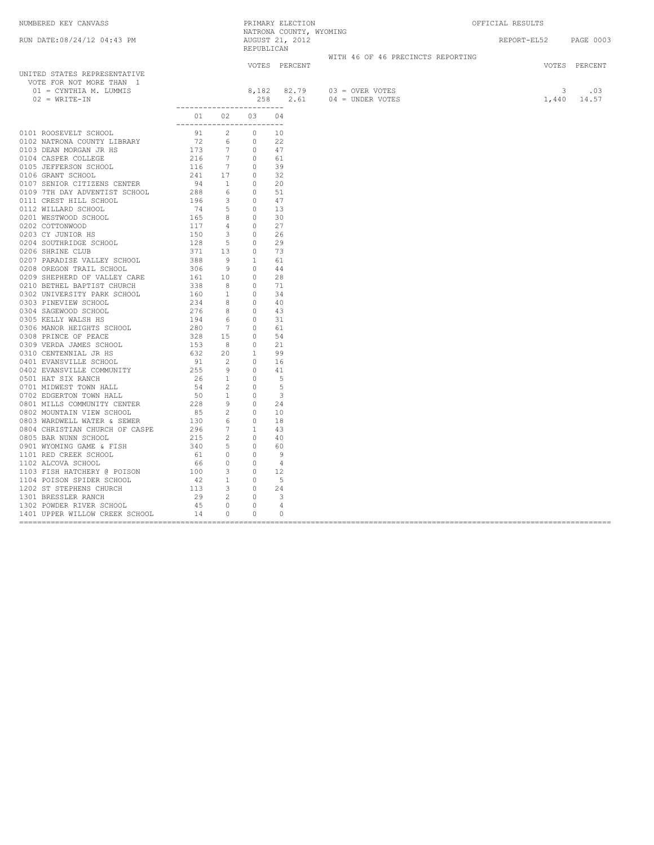|                                                                                                                                                                                                                                                                                                                                                                             |                                           |  |               | PRIMARY ELECTION<br>NATRONA COUNTY, WYOMING                    | OFFICIAL RESULTS                                                                                                                                                                                                                                                                                                                                                                                               |               |  |
|-----------------------------------------------------------------------------------------------------------------------------------------------------------------------------------------------------------------------------------------------------------------------------------------------------------------------------------------------------------------------------|-------------------------------------------|--|---------------|----------------------------------------------------------------|----------------------------------------------------------------------------------------------------------------------------------------------------------------------------------------------------------------------------------------------------------------------------------------------------------------------------------------------------------------------------------------------------------------|---------------|--|
|                                                                                                                                                                                                                                                                                                                                                                             |                                           |  |               |                                                                | REPORT-EL52 PAGE 0003                                                                                                                                                                                                                                                                                                                                                                                          |               |  |
|                                                                                                                                                                                                                                                                                                                                                                             |                                           |  |               | WITH 46 OF 46 PRECINCTS REPORTING                              |                                                                                                                                                                                                                                                                                                                                                                                                                |               |  |
| UNITED STATES REPRESENTATIVE<br>VOTE FOR NOT MORE THAN 1<br>01 = CYNTHIA M. LUMMIS<br>$02 = \text{WRTTE} - \text{IN}$                                                                                                                                                                                                                                                       |                                           |  | VOTES PERCENT | $8,182$ $82.79$ $03 =$ OVER VOTES<br>258 2.61 04 = UNDER VOTES | $\begin{array}{@{}c@{\hspace{1em}}c@{\hspace{1em}}c@{\hspace{1em}}c@{\hspace{1em}}c@{\hspace{1em}}c@{\hspace{1em}}c@{\hspace{1em}}c@{\hspace{1em}}c@{\hspace{1em}}c@{\hspace{1em}}c@{\hspace{1em}}c@{\hspace{1em}}c@{\hspace{1em}}c@{\hspace{1em}}c@{\hspace{1em}}c@{\hspace{1em}}c@{\hspace{1em}}c@{\hspace{1em}}c@{\hspace{1em}}c@{\hspace{1em}}c@{\hspace{1em}}c@{\hspace{1em}}c@{\hspace{1em}}c@{\hspace{$ | VOTES PERCENT |  |
| $\begin{tabular}{cccc} 0101 & \text{ROOSWEI}, \text{ SCROI}, \text{CNOT} & \text{O.11} & \text{O.2} & \text{O.3} & \text{O.4} \\ \hline 0102 & \text{MATEWAD A COUFT LIBARAY} & 91 & 2 & 0 & 10 \\ 0102 & \text{MATEWAD A COUFT LIBARAY} & 91 & 2 & 0 & 12 \\ 0103 & \text{MATEWBAW1} & 172 & 6 & 9 & 22 \\ 0105 & \text{MATEW B} & 172 & 7 & 0 & 44 \\ 0106 & \text{GRAFT$ | __________________________<br>01 02 03 04 |  |               |                                                                |                                                                                                                                                                                                                                                                                                                                                                                                                |               |  |
|                                                                                                                                                                                                                                                                                                                                                                             | -------------------------                 |  |               |                                                                |                                                                                                                                                                                                                                                                                                                                                                                                                |               |  |
|                                                                                                                                                                                                                                                                                                                                                                             |                                           |  |               |                                                                |                                                                                                                                                                                                                                                                                                                                                                                                                |               |  |
|                                                                                                                                                                                                                                                                                                                                                                             |                                           |  |               |                                                                |                                                                                                                                                                                                                                                                                                                                                                                                                |               |  |
|                                                                                                                                                                                                                                                                                                                                                                             |                                           |  |               |                                                                |                                                                                                                                                                                                                                                                                                                                                                                                                |               |  |
|                                                                                                                                                                                                                                                                                                                                                                             |                                           |  |               |                                                                |                                                                                                                                                                                                                                                                                                                                                                                                                |               |  |
|                                                                                                                                                                                                                                                                                                                                                                             |                                           |  |               |                                                                |                                                                                                                                                                                                                                                                                                                                                                                                                |               |  |
|                                                                                                                                                                                                                                                                                                                                                                             |                                           |  |               |                                                                |                                                                                                                                                                                                                                                                                                                                                                                                                |               |  |
|                                                                                                                                                                                                                                                                                                                                                                             |                                           |  |               |                                                                |                                                                                                                                                                                                                                                                                                                                                                                                                |               |  |
|                                                                                                                                                                                                                                                                                                                                                                             |                                           |  |               |                                                                |                                                                                                                                                                                                                                                                                                                                                                                                                |               |  |
|                                                                                                                                                                                                                                                                                                                                                                             |                                           |  |               |                                                                |                                                                                                                                                                                                                                                                                                                                                                                                                |               |  |
|                                                                                                                                                                                                                                                                                                                                                                             |                                           |  |               |                                                                |                                                                                                                                                                                                                                                                                                                                                                                                                |               |  |
|                                                                                                                                                                                                                                                                                                                                                                             |                                           |  |               |                                                                |                                                                                                                                                                                                                                                                                                                                                                                                                |               |  |
|                                                                                                                                                                                                                                                                                                                                                                             |                                           |  |               |                                                                |                                                                                                                                                                                                                                                                                                                                                                                                                |               |  |
|                                                                                                                                                                                                                                                                                                                                                                             |                                           |  |               |                                                                |                                                                                                                                                                                                                                                                                                                                                                                                                |               |  |
|                                                                                                                                                                                                                                                                                                                                                                             |                                           |  |               |                                                                |                                                                                                                                                                                                                                                                                                                                                                                                                |               |  |
|                                                                                                                                                                                                                                                                                                                                                                             |                                           |  |               |                                                                |                                                                                                                                                                                                                                                                                                                                                                                                                |               |  |
|                                                                                                                                                                                                                                                                                                                                                                             |                                           |  |               |                                                                |                                                                                                                                                                                                                                                                                                                                                                                                                |               |  |
|                                                                                                                                                                                                                                                                                                                                                                             |                                           |  |               |                                                                |                                                                                                                                                                                                                                                                                                                                                                                                                |               |  |
|                                                                                                                                                                                                                                                                                                                                                                             |                                           |  |               |                                                                |                                                                                                                                                                                                                                                                                                                                                                                                                |               |  |
|                                                                                                                                                                                                                                                                                                                                                                             |                                           |  |               |                                                                |                                                                                                                                                                                                                                                                                                                                                                                                                |               |  |
|                                                                                                                                                                                                                                                                                                                                                                             |                                           |  |               |                                                                |                                                                                                                                                                                                                                                                                                                                                                                                                |               |  |
|                                                                                                                                                                                                                                                                                                                                                                             |                                           |  |               |                                                                |                                                                                                                                                                                                                                                                                                                                                                                                                |               |  |
|                                                                                                                                                                                                                                                                                                                                                                             |                                           |  |               |                                                                |                                                                                                                                                                                                                                                                                                                                                                                                                |               |  |
|                                                                                                                                                                                                                                                                                                                                                                             |                                           |  |               |                                                                |                                                                                                                                                                                                                                                                                                                                                                                                                |               |  |
|                                                                                                                                                                                                                                                                                                                                                                             |                                           |  |               |                                                                |                                                                                                                                                                                                                                                                                                                                                                                                                |               |  |
|                                                                                                                                                                                                                                                                                                                                                                             |                                           |  |               |                                                                |                                                                                                                                                                                                                                                                                                                                                                                                                |               |  |
|                                                                                                                                                                                                                                                                                                                                                                             |                                           |  |               |                                                                |                                                                                                                                                                                                                                                                                                                                                                                                                |               |  |
|                                                                                                                                                                                                                                                                                                                                                                             |                                           |  |               |                                                                |                                                                                                                                                                                                                                                                                                                                                                                                                |               |  |
|                                                                                                                                                                                                                                                                                                                                                                             |                                           |  |               |                                                                |                                                                                                                                                                                                                                                                                                                                                                                                                |               |  |
|                                                                                                                                                                                                                                                                                                                                                                             |                                           |  |               |                                                                |                                                                                                                                                                                                                                                                                                                                                                                                                |               |  |
|                                                                                                                                                                                                                                                                                                                                                                             |                                           |  |               |                                                                |                                                                                                                                                                                                                                                                                                                                                                                                                |               |  |
|                                                                                                                                                                                                                                                                                                                                                                             |                                           |  |               |                                                                |                                                                                                                                                                                                                                                                                                                                                                                                                |               |  |
|                                                                                                                                                                                                                                                                                                                                                                             |                                           |  |               |                                                                |                                                                                                                                                                                                                                                                                                                                                                                                                |               |  |
|                                                                                                                                                                                                                                                                                                                                                                             |                                           |  |               |                                                                |                                                                                                                                                                                                                                                                                                                                                                                                                |               |  |
|                                                                                                                                                                                                                                                                                                                                                                             |                                           |  |               |                                                                |                                                                                                                                                                                                                                                                                                                                                                                                                |               |  |
|                                                                                                                                                                                                                                                                                                                                                                             |                                           |  |               |                                                                |                                                                                                                                                                                                                                                                                                                                                                                                                |               |  |
|                                                                                                                                                                                                                                                                                                                                                                             |                                           |  |               |                                                                |                                                                                                                                                                                                                                                                                                                                                                                                                |               |  |
|                                                                                                                                                                                                                                                                                                                                                                             |                                           |  |               |                                                                |                                                                                                                                                                                                                                                                                                                                                                                                                |               |  |
|                                                                                                                                                                                                                                                                                                                                                                             |                                           |  |               |                                                                |                                                                                                                                                                                                                                                                                                                                                                                                                |               |  |
|                                                                                                                                                                                                                                                                                                                                                                             |                                           |  |               |                                                                |                                                                                                                                                                                                                                                                                                                                                                                                                |               |  |
|                                                                                                                                                                                                                                                                                                                                                                             |                                           |  |               |                                                                |                                                                                                                                                                                                                                                                                                                                                                                                                |               |  |
|                                                                                                                                                                                                                                                                                                                                                                             |                                           |  |               |                                                                |                                                                                                                                                                                                                                                                                                                                                                                                                |               |  |
|                                                                                                                                                                                                                                                                                                                                                                             |                                           |  |               |                                                                |                                                                                                                                                                                                                                                                                                                                                                                                                |               |  |
|                                                                                                                                                                                                                                                                                                                                                                             |                                           |  |               |                                                                |                                                                                                                                                                                                                                                                                                                                                                                                                |               |  |
|                                                                                                                                                                                                                                                                                                                                                                             |                                           |  |               |                                                                |                                                                                                                                                                                                                                                                                                                                                                                                                |               |  |
|                                                                                                                                                                                                                                                                                                                                                                             |                                           |  |               |                                                                |                                                                                                                                                                                                                                                                                                                                                                                                                |               |  |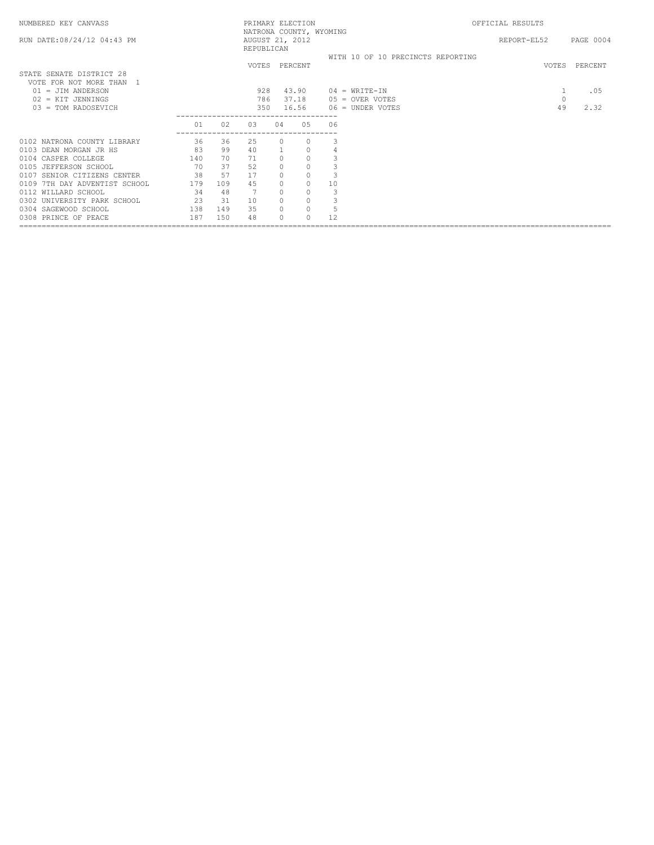| NUMBERED KEY CANVASS                                 |     |     | PRIMARY ELECTION                                         |                |          |    |                                   | OFFICIAL RESULTS |         |               |
|------------------------------------------------------|-----|-----|----------------------------------------------------------|----------------|----------|----|-----------------------------------|------------------|---------|---------------|
| RUN DATE: 08/24/12 04:43 PM                          |     |     | NATRONA COUNTY, WYOMING<br>AUGUST 21, 2012<br>REPUBLICAN |                |          |    |                                   | REPORT-EL52      |         | PAGE 0004     |
|                                                      |     |     |                                                          |                |          |    | WITH 10 OF 10 PRECINCTS REPORTING |                  |         |               |
| STATE SENATE DISTRICT 28<br>VOTE FOR NOT MORE THAN 1 |     |     | VOTES PERCENT                                            |                |          |    |                                   |                  |         | VOTES PERCENT |
| 01 = JIM ANDERSON                                    |     |     | 928                                                      |                | 43.90    |    | $04 = \text{WRTTE} - \text{IN}$   |                  |         | .05           |
| $02$ = KIT JENNINGS                                  |     |     | 786                                                      |                | 37.18    |    | $05 =$ OVER VOTES                 |                  | $\circ$ |               |
| $03 = TOM RADOSEVICH$                                |     |     | 350                                                      |                | 16.56    |    | $06 =$ UNDER VOTES                |                  | 49      | 2.32          |
|                                                      | 01  | 02  | 03                                                       | 04             | 05       | 06 |                                   |                  |         |               |
| 0102 NATRONA COUNTY LIBRARY                          | 36  | 36  | 25                                                       | $\Omega$       | 0        | 3  |                                   |                  |         |               |
| 0103 DEAN MORGAN JR HS                               | 83  | 99  | 40                                                       | $\overline{1}$ | $\circ$  | 4  |                                   |                  |         |               |
| 0104 CASPER COLLEGE                                  | 140 | 70  | 71                                                       | $\Omega$       | $\circ$  |    |                                   |                  |         |               |
| 0105 JEFFERSON SCHOOL                                | 70  | 37  | 52                                                       |                | $\circ$  |    |                                   |                  |         |               |
| 0107 SENIOR CITIZENS CENTER                          | 38  | 57  | 17                                                       | $\cap$         | $\circ$  |    |                                   |                  |         |               |
| 0109 7TH DAY ADVENTIST SCHOOL                        | 179 | 109 | 45                                                       | $\Omega$       | $\circ$  | 10 |                                   |                  |         |               |
| 0112 WILLARD SCHOOL                                  | 34  | 48  |                                                          | $\Omega$       | $\circ$  |    |                                   |                  |         |               |
| 0302 UNIVERSITY PARK SCHOOL                          | 23  | 31  | 10                                                       |                | $\circ$  |    |                                   |                  |         |               |
| 0304 SAGEWOOD SCHOOL                                 | 138 | 149 | 35                                                       | $\Omega$       | $\circ$  | 5  |                                   |                  |         |               |
| 0308 PRINCE OF PEACE                                 | 187 | 150 | 48                                                       |                | $\Omega$ | 12 |                                   |                  |         |               |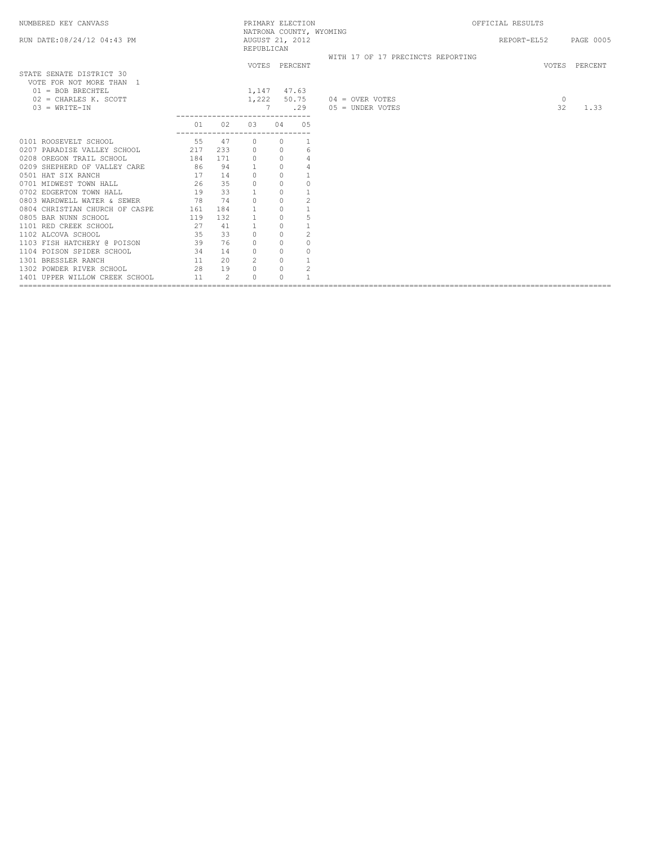| NUMBERED KEY CANVASS                                                                                                              |                                       |                | PRIMARY ELECTION                            |                |                |                                                                     | OFFICIAL RESULTS      |               |
|-----------------------------------------------------------------------------------------------------------------------------------|---------------------------------------|----------------|---------------------------------------------|----------------|----------------|---------------------------------------------------------------------|-----------------------|---------------|
| RUN DATE: 08/24/12 04:43 PM                                                                                                       |                                       |                | AUGUST 21, 2012<br>REPUBLICAN               |                |                | NATRONA COUNTY, WYOMING                                             | REPORT-EL52 PAGE 0005 |               |
| STATE SENATE DISTRICT 30                                                                                                          |                                       |                |                                             | VOTES PERCENT  |                | WITH 17 OF 17 PRECINCTS REPORTING                                   |                       | VOTES PERCENT |
| VOTE FOR NOT MORE THAN 1<br>$01 = BOB BRECHTEL$<br>$02$ = CHARLES K. SCOTT<br>$03 = WRITE-IN$                                     |                                       |                | 1,147 47.63<br>---------------------------- | 7              |                | 1,222 50.75 04 = OVER VOTES<br>$.29 \qquad 05 = \text{UNDER VOTES}$ | $\circ$<br>32         | 1.33          |
|                                                                                                                                   | 01<br>------------------------------- | 02             | 03                                          | 04 05          |                |                                                                     |                       |               |
| 0101 ROOSEVELT SCHOOL 55 47                                                                                                       |                                       |                |                                             | $\Omega$       |                |                                                                     |                       |               |
| 0207 PARADISE VALLEY SCHOOL 217 233                                                                                               |                                       |                | $\overline{\phantom{0}}$                    | $\overline{0}$ | 6              |                                                                     |                       |               |
| 0208 OREGON TRAIL SCHOOL                                                                                                          | 184 171                               |                | $\overline{0}$                              | $\overline{0}$ | $\overline{4}$ |                                                                     |                       |               |
| 0209 SHEPHERD OF VALLEY CARE 86 94                                                                                                |                                       |                |                                             | $\overline{0}$ | $\sqrt{4}$     |                                                                     |                       |               |
| 0501 HAT SIX RANCH                                                                                                                |                                       |                | $\circ$                                     | $\overline{0}$ |                |                                                                     |                       |               |
| 0701 MIDWEST TOWN HALL                                                                                                            | $\frac{17}{26}$ $\frac{14}{35}$       |                | $\circ$                                     | $\circ$        | $\mathbb O$    |                                                                     |                       |               |
| 0702 EDGERTON TOWN HALL                                                                                                           | $19$ 33                               |                |                                             | $\circ$        |                |                                                                     |                       |               |
| 0803 WARDWELL WATER & SEWER                                                                                                       | 78 74                                 |                | $\Omega$                                    | $\Omega$       | $\overline{c}$ |                                                                     |                       |               |
| 0804 CHRISTIAN CHURCH OF CASPE                                                                                                    | 161 184                               |                | <sup>1</sup>                                | $\circ$        |                |                                                                     |                       |               |
| 0805 BAR NUNN SCHOOL                                                                                                              | 119 132                               |                | $\overline{1}$                              | $\Omega$       | 5              |                                                                     |                       |               |
| $\begin{tabular}{ccccc} 1101 & RED CREEK & SCHOOL & & & & 27 & & 41 \\ 1102 & ALCOVA & SCHOOL & & & & 35 & & 33 \\ \end{tabular}$ |                                       |                |                                             | $\circ$        |                |                                                                     |                       |               |
|                                                                                                                                   |                                       |                | $\circ$                                     | $\circ$        | $\mathbf{2}$   |                                                                     |                       |               |
| 1103 FISH HATCHERY @ POISON                                                                                                       | 39 76                                 |                | $\circ$                                     | $\Omega$       | $\Omega$       |                                                                     |                       |               |
| 1104 POISON SPIDER SCHOOL                                                                                                         | 34 14                                 |                | $\mathbf{0}$                                | $\Omega$       | $\circ$        |                                                                     |                       |               |
| 1301 BRESSLER RANCH                                                                                                               | $\frac{1}{11}$ 20                     |                | 2                                           | $\overline{0}$ | $\mathbf{1}$   |                                                                     |                       |               |
| 1302 POWDER RIVER SCHOOL                                                                                                          | 28 19                                 |                | $\circ$                                     | $\Omega$       | $\mathbf{2}$   |                                                                     |                       |               |
| 1401 UPPER WILLOW CREEK SCHOOL                                                                                                    | $-11$                                 | $\overline{2}$ |                                             | $\Omega$       |                |                                                                     |                       |               |
|                                                                                                                                   |                                       |                |                                             |                |                |                                                                     |                       |               |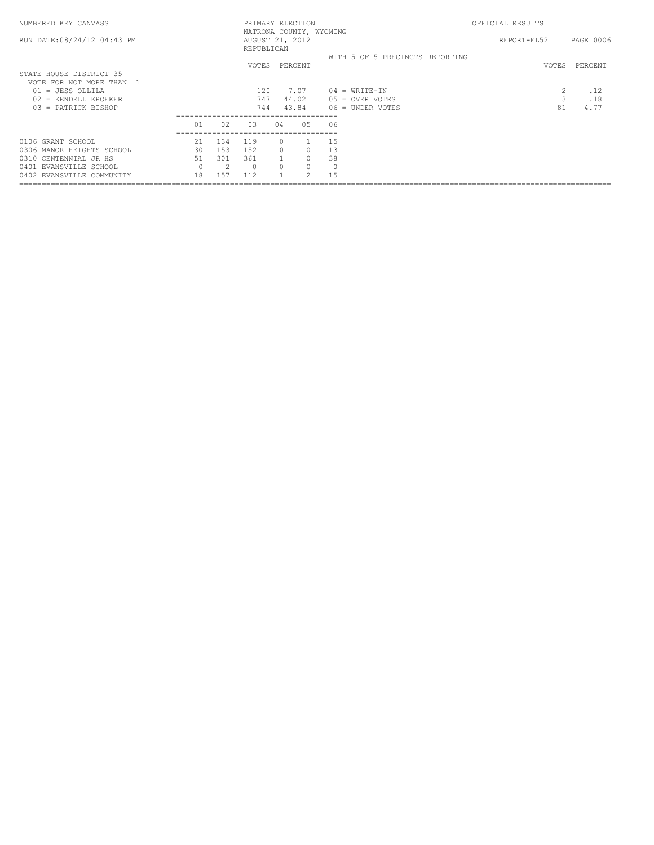| NUMBERED KEY CANVASS                                                                                                           |                       |                               |                               |                       | PRIMARY ELECTION                                 |                                 |                                                            | OFFICIAL RESULTS |                           |                    |
|--------------------------------------------------------------------------------------------------------------------------------|-----------------------|-------------------------------|-------------------------------|-----------------------|--------------------------------------------------|---------------------------------|------------------------------------------------------------|------------------|---------------------------|--------------------|
| RUN DATE: 08/24/12 04:43 PM                                                                                                    |                       |                               | AUGUST 21, 2012<br>REPUBLICAN |                       | NATRONA COUNTY, WYOMING                          |                                 |                                                            | REPORT-EL52      |                           | PAGE 0006          |
| STATE HOUSE DISTRICT 35                                                                                                        |                       |                               | VOTES                         |                       | PERCENT                                          |                                 | WITH 5 OF 5 PRECINCTS REPORTING                            |                  | VOTES                     | PERCENT            |
| VOTE FOR NOT MORE THAN<br>- 1<br>$01 = JESS$ OLLILA<br>02 = KENDELL KROEKER<br>03 = PATRICK BISHOP                             |                       |                               | 120<br>747<br>744             |                       | 7.07<br>44.02<br>43.84                           |                                 | $04 = WRTTE-TN$<br>$05 =$ OVER VOTES<br>$06 =$ UNDER VOTES |                  | $\overline{c}$<br>3<br>81 | .12<br>.18<br>4.77 |
|                                                                                                                                | 01                    | 02                            | 0.3                           | 04                    | 0.5                                              | 06                              |                                                            |                  |                           |                    |
| 0106 GRANT SCHOOL<br>0306 MANOR HEIGHTS SCHOOL<br>0310 CENTENNIAL JR HS<br>0401 EVANSVILLE SCHOOL<br>0402 EVANSVILLE COMMUNITY | 2.1<br>30<br>51<br>18 | 134<br>153<br>301<br>2<br>157 | 119<br>152<br>361<br>$\circ$  | $\Omega$<br>$\bigcap$ | $\Omega$<br>$\Omega$<br>$\circ$<br>$\mathcal{D}$ | 15<br>13<br>38<br>$\circ$<br>15 |                                                            |                  |                           |                    |
|                                                                                                                                |                       |                               |                               |                       |                                                  |                                 |                                                            |                  |                           |                    |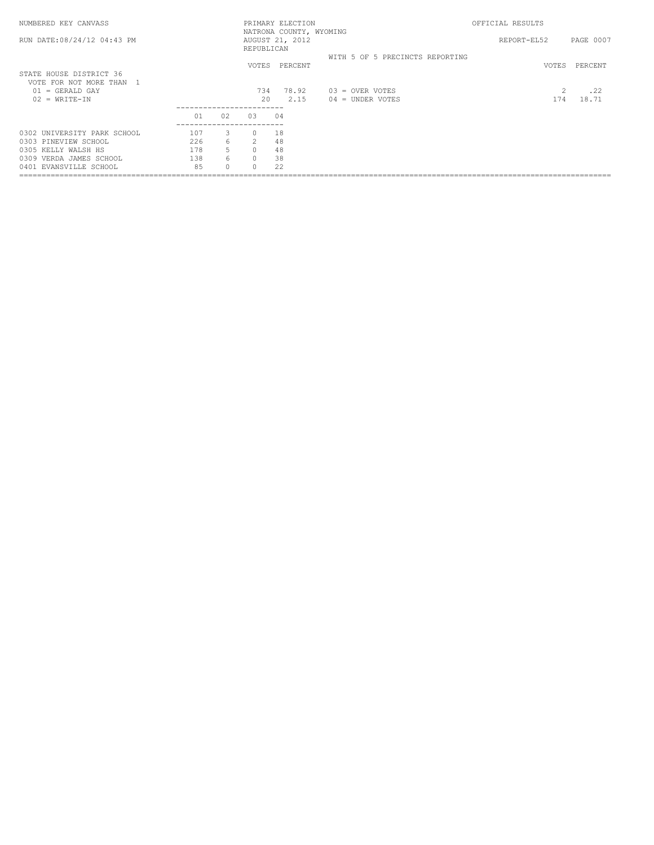| NUMBERED KEY CANVASS                              |     |        |                             | PRIMARY ELECTION                           |                                 | OFFICIAL RESULTS |           |
|---------------------------------------------------|-----|--------|-----------------------------|--------------------------------------------|---------------------------------|------------------|-----------|
| RUN DATE: 08/24/12 04:43 PM                       |     |        | REPUBLICAN                  | NATRONA COUNTY, WYOMING<br>AUGUST 21, 2012 |                                 | REPORT-EL52      | PAGE 0007 |
|                                                   |     |        | VOTES                       | PERCENT                                    | WITH 5 OF 5 PRECINCTS REPORTING | VOTES            | PERCENT   |
| STATE HOUSE DISTRICT 36<br>VOTE FOR NOT MORE THAN |     |        |                             |                                            |                                 |                  |           |
| $01 = GERALD GAY$                                 |     |        | 734                         | 78.92                                      | $03 =$ OVER VOTES               | 2                | .22       |
| $02 = WRTTE-TN$                                   |     |        | 20<br>--------------------- | 2.15                                       | $04 =$ UNDER VOTES              | 174              | 18.71     |
|                                                   | 01  | 02     | 0.3                         | 04                                         |                                 |                  |           |
| 0302 UNIVERSITY PARK SCHOOL                       | 107 | 3      |                             | 18                                         |                                 |                  |           |
| 0303 PINEVIEW SCHOOL                              | 226 | 6.     | $2^{\circ}$                 | 48                                         |                                 |                  |           |
| 0305 KELLY WALSH HS                               | 178 | 5      | $\bigcap$                   | 48                                         |                                 |                  |           |
| VERDA JAMES SCHOOL<br>0309                        | 138 | 6      | $\Omega$                    | 38                                         |                                 |                  |           |
| 0401 EVANSVILLE SCHOOL                            | 85  | $\cap$ |                             | 22                                         |                                 |                  |           |
|                                                   |     |        |                             |                                            |                                 |                  |           |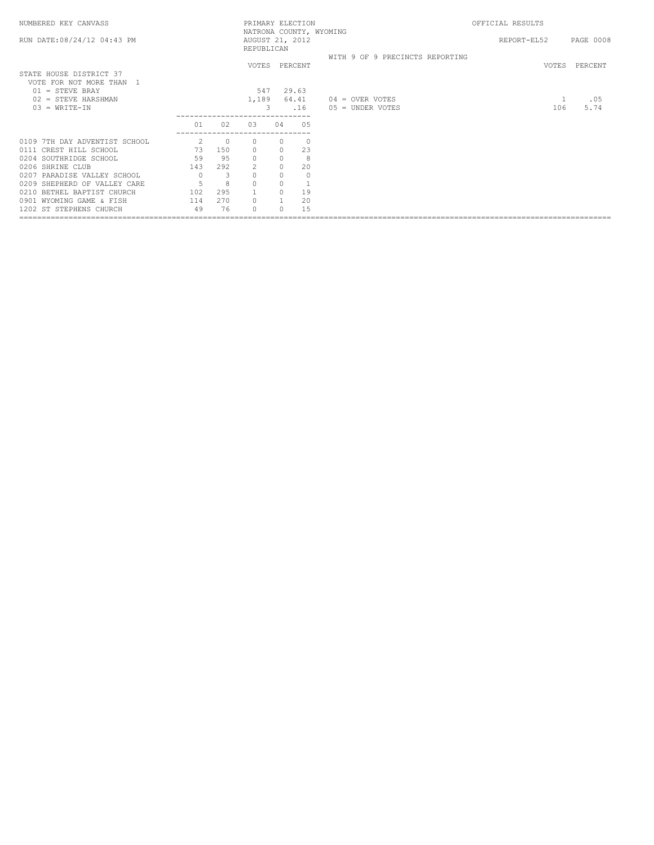| NUMBERED KEY CANVASS                                |                     |                |                               |          | PRIMARY ELECTION | NATRONA COUNTY, WYOMING         | OFFICIAL RESULTS |     |               |
|-----------------------------------------------------|---------------------|----------------|-------------------------------|----------|------------------|---------------------------------|------------------|-----|---------------|
| RUN DATE: 08/24/12 04:43 PM                         |                     |                | AUGUST 21, 2012<br>REPUBLICAN |          |                  |                                 | REPORT-EL52      |     | PAGE 0008     |
|                                                     |                     |                |                               |          |                  | WITH 9 OF 9 PRECINCTS REPORTING |                  |     |               |
| STATE HOUSE DISTRICT 37<br>VOTE FOR NOT MORE THAN 1 |                     |                |                               |          | VOTES PERCENT    |                                 |                  |     | VOTES PERCENT |
| $01 =$ STEVE BRAY                                   |                     |                | 547                           |          | 29.63            |                                 |                  |     |               |
| $02 =$ STEVE HARSHMAN                               |                     |                | 1,189                         |          | 64.41            | $04 =$ OVER VOTES               |                  | 1   | .05           |
| $03 = WRITE-IN$                                     |                     |                | 3                             |          | .16              | $05 =$ UNDER VOTES              |                  | 106 | 5.74          |
|                                                     | 01<br>_____________ | 02             | 03                            | 04       | 05               |                                 |                  |     |               |
| 0109 7TH DAY ADVENTIST SCHOOL                       | 2                   | $\overline{0}$ | $\circ$                       | $\Omega$ | $\circ$          |                                 |                  |     |               |
| 0111 CREST HILL SCHOOL                              | 73                  | 150            | $\mathbf{0}$                  | $\Omega$ | 23               |                                 |                  |     |               |
| 0204 SOUTHRIDGE SCHOOL                              | 59                  | 95             | $\mathbf{0}$                  | $\Omega$ | 8                |                                 |                  |     |               |
| 0206 SHRINE CLUB                                    | 143                 | 292            | 2                             | $\Omega$ | 20               |                                 |                  |     |               |
| 0207 PARADISE VALLEY SCHOOL                         | $\overline{0}$      | 3              |                               |          | $\circ$          |                                 |                  |     |               |
| 0209 SHEPHERD OF VALLEY CARE                        | 5                   | 8              |                               |          | $\mathbf{1}$     |                                 |                  |     |               |
| 0210 BETHEL BAPTIST CHURCH                          | 102                 | 295            |                               | $\Omega$ | 19               |                                 |                  |     |               |
| 0901 WYOMING GAME & FISH                            | 114                 | 270            | $\Omega$                      |          | 20               |                                 |                  |     |               |
| 1202 ST STEPHENS CHURCH                             | 49                  | 76             | $\Omega$                      |          | 15               |                                 |                  |     |               |
|                                                     |                     |                |                               |          |                  |                                 |                  |     |               |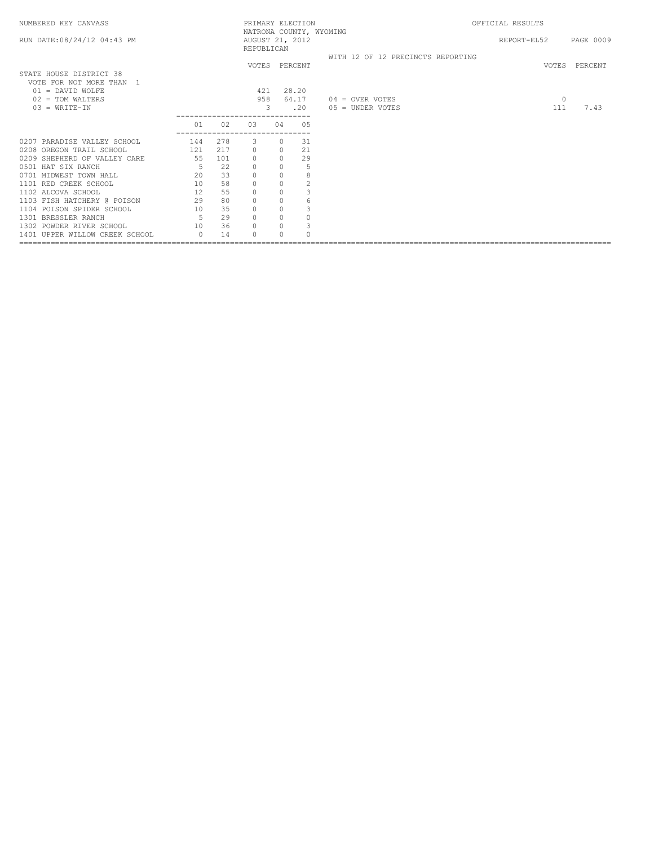| NUMBERED KEY CANVASS           |                |     |                               |          | PRIMARY ELECTION | NATRONA COUNTY, WYOMING           | OFFICIAL RESULTS |               |
|--------------------------------|----------------|-----|-------------------------------|----------|------------------|-----------------------------------|------------------|---------------|
| RUN DATE: 08/24/12 04:43 PM    |                |     | AUGUST 21, 2012<br>REPUBLICAN |          |                  |                                   | REPORT-EL52      | PAGE 0009     |
|                                |                |     |                               |          |                  | WITH 12 OF 12 PRECINCTS REPORTING |                  |               |
|                                |                |     |                               |          | VOTES PERCENT    |                                   |                  | VOTES PERCENT |
| STATE HOUSE DISTRICT 38        |                |     |                               |          |                  |                                   |                  |               |
| VOTE FOR NOT MORE THAN 1       |                |     |                               |          |                  |                                   |                  |               |
| $01 =$ DAVID WOLFE             |                |     | 421                           |          | 28.20            |                                   |                  |               |
| $02 = TOM WALTERS$             |                |     | 958                           |          | 64.17            | $04 =$ OVER VOTES                 | $\circ$          |               |
| $03 = WRTTE-IN$                |                |     | 3                             |          | .20              | 05 = UNDER VOTES                  | 111              | 7.43          |
|                                |                |     |                               |          |                  |                                   |                  |               |
|                                | 01             | 02  | 03                            | 04       | 05               |                                   |                  |               |
|                                |                |     |                               |          |                  |                                   |                  |               |
| 0207 PARADISE VALLEY SCHOOL    | 144            | 278 | 3                             | $\Omega$ | 31               |                                   |                  |               |
| 0208 OREGON TRAIL SCHOOL       | 121 217        |     | $\circ$                       | $\circ$  | 21               |                                   |                  |               |
| 0209 SHEPHERD OF VALLEY CARE   | 55             | 101 | $\circ$                       | $\Omega$ | 29               |                                   |                  |               |
| 0501 HAT SIX RANCH             | 5 <sup>5</sup> | 22  | $\circ$                       | $\Omega$ | 5                |                                   |                  |               |
| 0701 MIDWEST TOWN HALL         | 20             | 33  | $\circ$                       | $\Omega$ | $\,$ 8 $\,$      |                                   |                  |               |
| 1101 RED CREEK SCHOOL          | 10             | 58  | $\circ$                       | $\circ$  | $\overline{c}$   |                                   |                  |               |
| 1102 ALCOVA SCHOOL             | 12             | 55  | $\mathbb O$                   |          | 3                |                                   |                  |               |
| 1103 FISH HATCHERY @ POISON    | 29             | 80  | $\mathbf{0}$                  | $\circ$  | 6                |                                   |                  |               |
| 1104 POISON SPIDER SCHOOL      | 10             | 35  | $\mathbb O$                   | $\Omega$ | 3                |                                   |                  |               |
| 1301 BRESSLER RANCH            | $5^{\circ}$    | 29  | $\circ$                       | $\Omega$ | $\Omega$         |                                   |                  |               |
| 1302 POWDER RIVER SCHOOL       | 10             | 36  | $\circ$                       | $\Omega$ | 3                |                                   |                  |               |
| 1401 UPPER WILLOW CREEK SCHOOL | $\bigcap$      | 14  | $\bigcap$                     |          | $\cap$           |                                   |                  |               |
|                                |                |     |                               |          |                  |                                   |                  |               |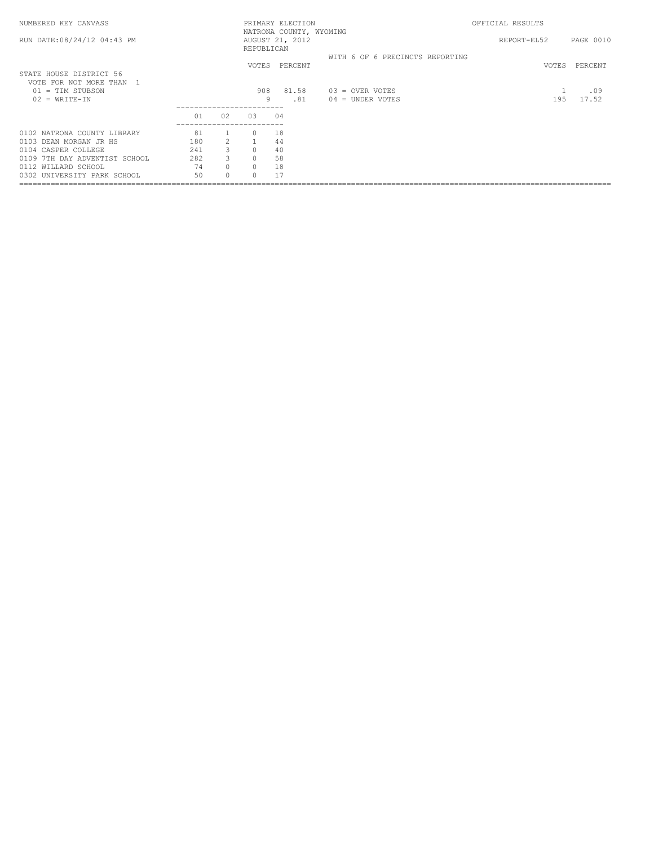| NUMBERED KEY CANVASS                                              |     |                       |                        | PRIMARY ELECTION                           |                                         | OFFICIAL RESULTS |              |
|-------------------------------------------------------------------|-----|-----------------------|------------------------|--------------------------------------------|-----------------------------------------|------------------|--------------|
| RUN DATE: 08/24/12 04:43 PM                                       |     |                       | REPUBLICAN             | NATRONA COUNTY, WYOMING<br>AUGUST 21, 2012 |                                         | REPORT-EL52      | PAGE 0010    |
| STATE HOUSE DISTRICT 56                                           |     |                       | VOTES                  | PERCENT                                    | WITH 6 OF 6 PRECINCTS REPORTING         | VOTES            | PERCENT      |
| VOTE FOR NOT MORE THAN 1<br>$01 = TIM$ STUBSON<br>$02 = WRTTE-TN$ |     |                       | 908<br>9<br>---------- | 81.58<br>.81                               | $03 =$ OVER VOTES<br>$04 =$ UNDER VOTES | 195              | .09<br>17.52 |
|                                                                   | 01  | 02                    | 03                     | 04                                         |                                         |                  |              |
| 0102 NATRONA COUNTY LIBRARY                                       | 81  |                       |                        | 18                                         |                                         |                  |              |
| 0103 DEAN MORGAN JR HS                                            | 180 | $\mathbf{2}^{\prime}$ |                        | 44                                         |                                         |                  |              |
| 0104 CASPER COLLEGE                                               | 241 | 3                     | $\Omega$               | 40                                         |                                         |                  |              |
| 0109 7TH DAY ADVENTIST SCHOOL                                     | 282 | 3                     | $\Omega$               | 58                                         |                                         |                  |              |
| 0112 WILLARD SCHOOL                                               | 74  | 0                     | $\circ$                | 18                                         |                                         |                  |              |
| 0302 UNIVERSITY PARK SCHOOL                                       | 50  | $\cap$                |                        |                                            |                                         |                  |              |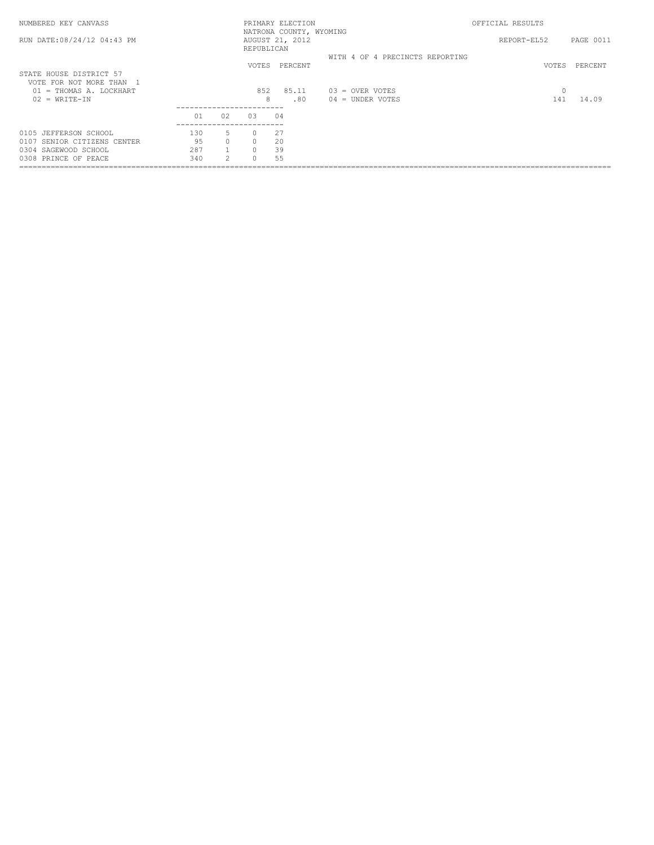| NUMBERED KEY CANVASS                              |     |               |            | PRIMARY ELECTION                           |                                 | OFFICIAL RESULTS |           |
|---------------------------------------------------|-----|---------------|------------|--------------------------------------------|---------------------------------|------------------|-----------|
| RUN DATE:08/24/12 04:43 PM                        |     |               | REPUBLICAN | NATRONA COUNTY, WYOMING<br>AUGUST 21, 2012 |                                 | REPORT-EL52      | PAGE 0011 |
|                                                   |     |               | VOTES      | PERCENT                                    | WITH 4 OF 4 PRECINCTS REPORTING | VOTES            | PERCENT   |
| STATE HOUSE DISTRICT 57<br>VOTE FOR NOT MORE THAN |     |               |            |                                            |                                 |                  |           |
| 01 = THOMAS A. LOCKHART                           |     |               | 852        | 85.11                                      | $03 =$ OVER VOTES               | $\circ$          |           |
| $02 = WRTTE-TN$                                   |     |               | 8          | .80                                        | $04 =$ UNDER VOTES              | 141              | 14.09     |
|                                                   | 01  | 02            | 0.3        | 04                                         |                                 |                  |           |
| 0105 JEFFERSON SCHOOL                             | 130 | 5             | $\Omega$   | 27                                         |                                 |                  |           |
| 0107 SENIOR CITIZENS CENTER                       | 95  | $\Omega$      | $\Omega$   | 20                                         |                                 |                  |           |
| 0304 SAGEWOOD SCHOOL                              | 287 |               | $\Omega$   | 39                                         |                                 |                  |           |
| 0308 PRINCE OF PEACE                              | 340 | $\mathcal{L}$ | $\Omega$   | 55                                         |                                 |                  |           |
|                                                   |     |               |            |                                            |                                 |                  |           |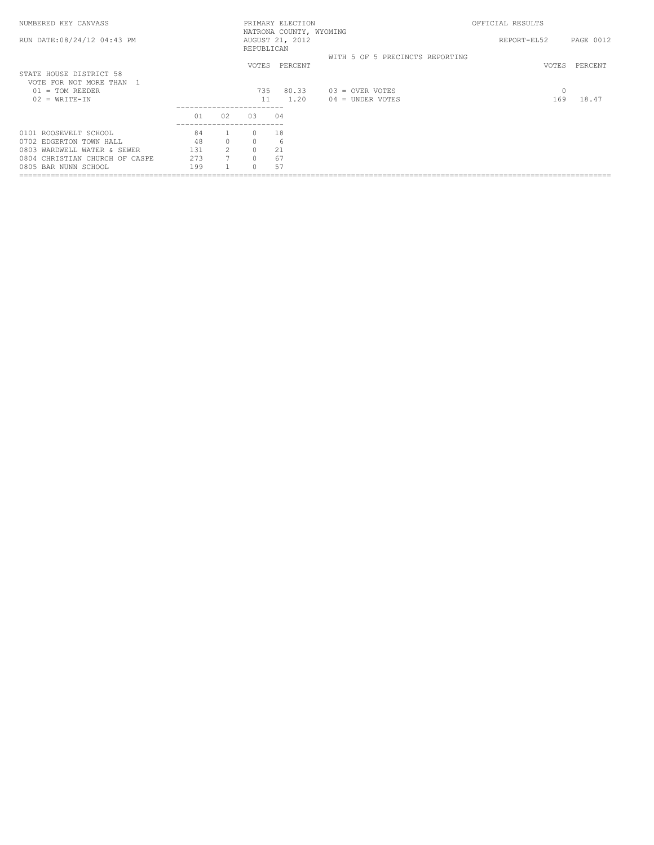| NUMBERED KEY CANVASS           |      |                |                              | PRIMARY ELECTION                           |                                 | OFFICIAL RESULTS |           |
|--------------------------------|------|----------------|------------------------------|--------------------------------------------|---------------------------------|------------------|-----------|
| RUN DATE: 08/24/12 04:43 PM    |      |                | REPUBLICAN                   | NATRONA COUNTY, WYOMING<br>AUGUST 21, 2012 |                                 | REPORT-EL52      | PAGE 0012 |
|                                |      |                | <b>VOTES</b>                 | PERCENT                                    | WITH 5 OF 5 PRECINCTS REPORTING | VOTES            | PERCENT   |
| STATE HOUSE DISTRICT 58        |      |                |                              |                                            |                                 |                  |           |
| VOTE FOR NOT MORE THAN         |      |                |                              |                                            |                                 |                  |           |
| $01 = TOM REEDER$              |      |                | 735                          | 80.33                                      | $03 =$ OVER VOTES               | 0                |           |
| $02 = WRTTE-TN$                |      |                | 11                           | 1.20                                       | $04 =$ UNDER VOTES              | 169              | 18.47     |
|                                | 01   | 02             | ---------------------<br>0.3 | 04                                         |                                 |                  |           |
| 0101 ROOSEVELT SCHOOL          | 84   |                |                              | 18                                         |                                 |                  |           |
| 0702 EDGERTON TOWN HALL        | 48   | $\Omega$       |                              | 6                                          |                                 |                  |           |
| 0803 WARDWELL WATER & SEWER    | 1.31 | $\mathcal{P}$  | $\cap$                       | 21                                         |                                 |                  |           |
| 0804 CHRISTIAN CHURCH OF CASPE | 273  | $\overline{7}$ |                              | 67                                         |                                 |                  |           |
| 0805 BAR NUNN SCHOOL           | 199  |                |                              | 57                                         |                                 |                  |           |
|                                |      |                |                              |                                            |                                 |                  |           |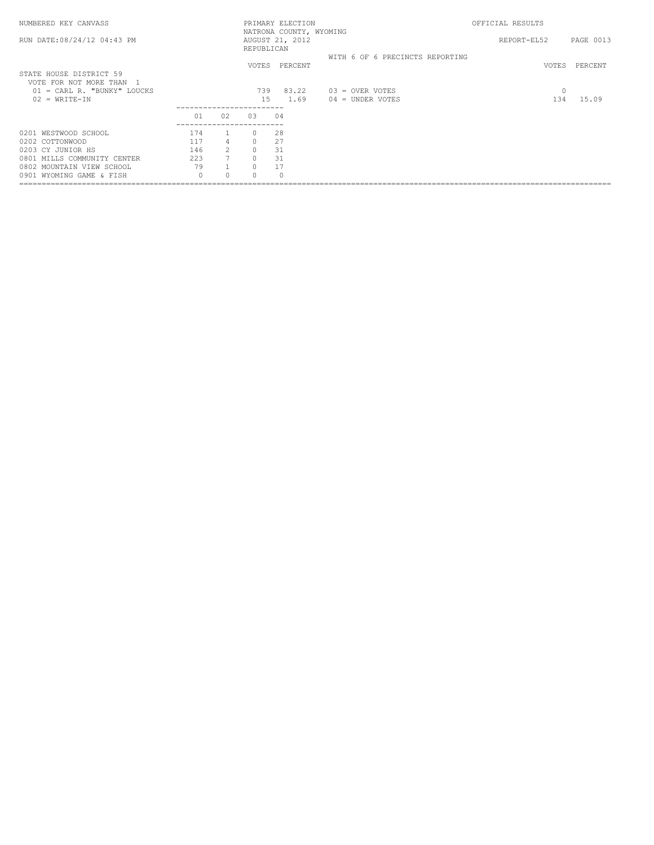| NUMBERED KEY CANVASS                                                         |          |                 |            | PRIMARY ELECTION                           |                                         | OFFICIAL RESULTS |           |
|------------------------------------------------------------------------------|----------|-----------------|------------|--------------------------------------------|-----------------------------------------|------------------|-----------|
| RUN DATE: 08/24/12 04:43 PM                                                  |          |                 | REPUBLICAN | NATRONA COUNTY, WYOMING<br>AUGUST 21, 2012 |                                         | REPORT-EL52      | PAGE 0013 |
| STATE HOUSE DISTRICT 59                                                      |          |                 |            | VOTES PERCENT                              | WITH 6 OF 6 PRECINCTS REPORTING         | VOTES            | PERCENT   |
| VOTE FOR NOT MORE THAN 1<br>$01 = CARL R.$ "BUNKY" LOUCKS<br>$02 = WRTTE-TN$ |          |                 | 739<br>1.5 | 83.22<br>1.69                              | $03 =$ OVER VOTES<br>$04 =$ UNDER VOTES | $\circ$<br>134   | 15.09     |
|                                                                              | 01       | 02              | 03         | 04                                         |                                         |                  |           |
| 0201 WESTWOOD SCHOOL                                                         | 174      |                 | $\Omega$   | 28                                         |                                         |                  |           |
| 0202 COTTONWOOD                                                              | 117      | $\overline{4}$  | $\Omega$   | 27                                         |                                         |                  |           |
| 0203 CY JUNIOR HS                                                            | 146      | 2               | $\Omega$   | 31                                         |                                         |                  |           |
| 0801 MILLS COMMUNITY CENTER                                                  | 223      | $7\overline{ }$ | $\Omega$   | 31                                         |                                         |                  |           |
| 0802 MOUNTAIN VIEW SCHOOL                                                    | 79       |                 | $\Omega$   | 17                                         |                                         |                  |           |
| 0901 WYOMING GAME & FISH                                                     | $\Omega$ | 0               | $\cap$     | $\Omega$                                   |                                         |                  |           |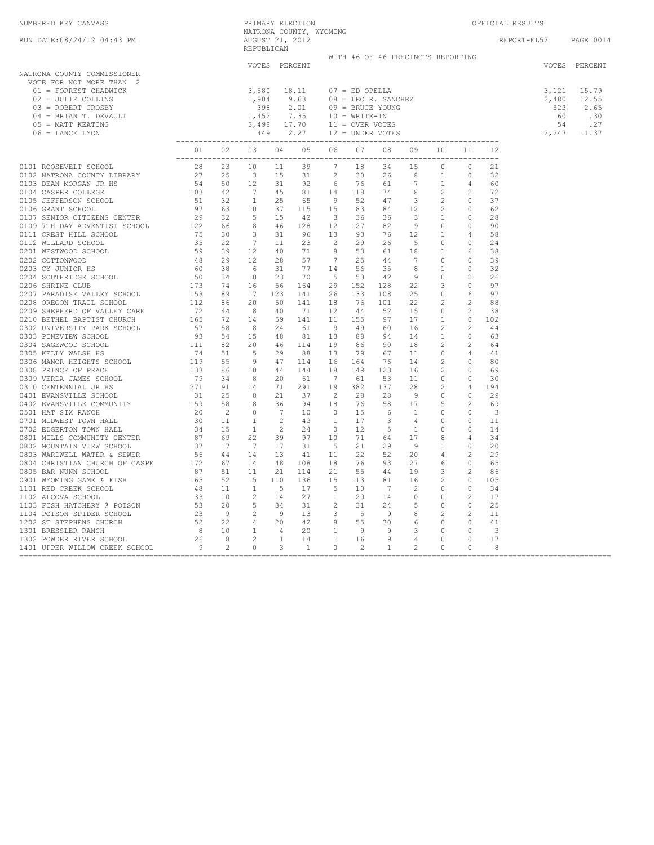| NUMBERED KEY CANVASS                                                                                                                                                                                                                                                                                                                                                                                                             |                                                                              |  |               |  |                                     |  |  | OFFICIAL RESULTS                                                                                                                              |               |
|----------------------------------------------------------------------------------------------------------------------------------------------------------------------------------------------------------------------------------------------------------------------------------------------------------------------------------------------------------------------------------------------------------------------------------|------------------------------------------------------------------------------|--|---------------|--|-------------------------------------|--|--|-----------------------------------------------------------------------------------------------------------------------------------------------|---------------|
| RUN DATE:08/24/12 04:43 PM                                                                                                                                                                                                                                                                                                                                                                                                       | PRIMARY ELECTION<br>NATRONA COUNTY, WYOMING<br>AUGUST 21, 2012<br>REPUBLICAN |  |               |  |                                     |  |  | REPORT-EL52 PAGE 0014                                                                                                                         |               |
|                                                                                                                                                                                                                                                                                                                                                                                                                                  |                                                                              |  |               |  | WITH 46 OF 46 PRECINCTS REPORTING   |  |  |                                                                                                                                               |               |
| NATRONA COUNTY COMMISSIONER<br>VOTE FOR NOT MORE THAN 2<br>RONA COUNII<br>JOTE FOR NOT MORE THAN<br>01 = FORREST CHADWICK<br>^ - JULIE COLLINS<br>^ - JULIE COLLINS<br>04 = BRIAN T. DEVAULT<br>05 = MATT KEATING<br>06 = LANCE LYON                                                                                                                                                                                             |                                                                              |  | VOTES PERCENT |  |                                     |  |  | $\begin{array}{cccc} 3,121 & 15.79 \\ 2,480 & 12.55 \\ 523 & 2.65 \\ 60 & .30 \\ 54 & .27 \\ \text{\phantom{2}} & .2,247 & 11.37 \end{array}$ | VOTES PERCENT |
|                                                                                                                                                                                                                                                                                                                                                                                                                                  |                                                                              |  |               |  | 01 02 03 04 05 06 07 08 09 10 11 12 |  |  |                                                                                                                                               |               |
| $\begin{array}{cccccccccccccccc} 0&\text{c} & \text{m} & \text{m} & \text{m} & \text{m} & \text{m} & \text{m} & \text{m} & \text{m} & \text{m} & \text{m} & \text{m} & \text{m} & \text{m} & \text{m} & \text{m} & \text{m} & \text{m} & \text{m} & \text{m} & \text{m} & \text{m} & \text{m} & \text{m} & \text{m} & \text{m} & \text{m} & \text{m} & \text{m} & \text{m} & \text{m} & \text{m} & \text{m} & \text{m} & \text{$ |                                                                              |  |               |  |                                     |  |  |                                                                                                                                               |               |
|                                                                                                                                                                                                                                                                                                                                                                                                                                  |                                                                              |  |               |  |                                     |  |  |                                                                                                                                               |               |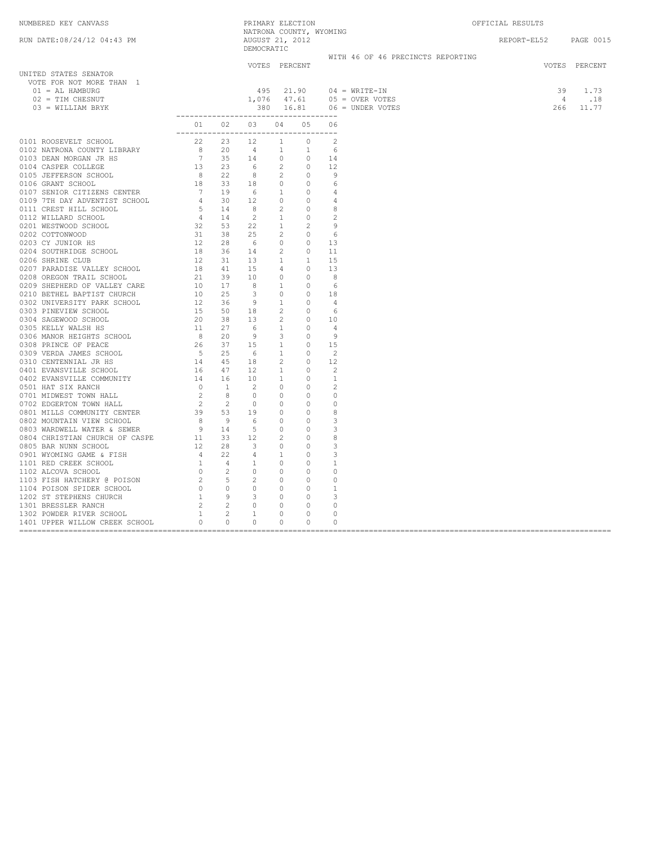| NUMBERED KEY CANVASS                                                                                                                                                                                                                                                                                                                                    |                                                            | PRIMARY ELECTION              |  | NATRONA COUNTY, WYOMING |                                                                                            | OFFICIAL RESULTS |                                                        |                          |
|---------------------------------------------------------------------------------------------------------------------------------------------------------------------------------------------------------------------------------------------------------------------------------------------------------------------------------------------------------|------------------------------------------------------------|-------------------------------|--|-------------------------|--------------------------------------------------------------------------------------------|------------------|--------------------------------------------------------|--------------------------|
| RUN DATE:08/24/12 04:43 PM                                                                                                                                                                                                                                                                                                                              |                                                            | AUGUST 21, 2012<br>DEMOCRATIC |  |                         |                                                                                            |                  | REPORT-EL52 PAGE 0015                                  |                          |
|                                                                                                                                                                                                                                                                                                                                                         |                                                            |                               |  |                         | WITH 46 OF 46 PRECINCTS REPORTING                                                          |                  |                                                        |                          |
| UNITED STATES SENATOR<br>VOTE FOR NOT MORE THAN 1<br>$01 = AL HAMBURG$<br>02 = TIM CHESNUT<br>03 = WILLIAM BRYK                                                                                                                                                                                                                                         |                                                            | VOTES PERCENT                 |  |                         | 495  21.90  04 = WRITE-IN<br>1,076  47.61  05 = OVER VOTES<br>380  16.81  06 = UNDER VOTES |                  | $\begin{array}{cc} 4 & .18 \\ 266 & 11.77 \end{array}$ | VOTES PERCENT<br>39 1.73 |
| $\begin{tabular}{cccccccc} 0111 & \text{ROOSEVELT} & 0110 & 02 & 03 & 04 & 05 & 06 \\ 0102 & \text{KAR/ROA COWITY LIBRARY} & 22 & 20 & 14 & 10 & 20 \\ 0103 & \text{KAR/ROA COWITY LIBRARY} & 22 & 20 & 12 & 10 & 20 \\ 0104 & \text{CaBPE R COLLESE} & 32 & 14 & 1 & 1 & 2 \\ 0104 & \text{CaBPE R COLLESE} & 32 & 14 & 1 & 1 & 2 \\ 0105 & \text{GaB$ | -------------------------------------<br>01 02 03 04 05 06 |                               |  |                         |                                                                                            |                  |                                                        |                          |
|                                                                                                                                                                                                                                                                                                                                                         |                                                            |                               |  |                         |                                                                                            |                  |                                                        |                          |
|                                                                                                                                                                                                                                                                                                                                                         |                                                            |                               |  |                         |                                                                                            |                  |                                                        |                          |
|                                                                                                                                                                                                                                                                                                                                                         |                                                            |                               |  |                         |                                                                                            |                  |                                                        |                          |
|                                                                                                                                                                                                                                                                                                                                                         |                                                            |                               |  |                         |                                                                                            |                  |                                                        |                          |
|                                                                                                                                                                                                                                                                                                                                                         |                                                            |                               |  |                         |                                                                                            |                  |                                                        |                          |
|                                                                                                                                                                                                                                                                                                                                                         |                                                            |                               |  |                         |                                                                                            |                  |                                                        |                          |
|                                                                                                                                                                                                                                                                                                                                                         |                                                            |                               |  |                         |                                                                                            |                  |                                                        |                          |
|                                                                                                                                                                                                                                                                                                                                                         |                                                            |                               |  |                         |                                                                                            |                  |                                                        |                          |
|                                                                                                                                                                                                                                                                                                                                                         |                                                            |                               |  |                         |                                                                                            |                  |                                                        |                          |
|                                                                                                                                                                                                                                                                                                                                                         |                                                            |                               |  |                         |                                                                                            |                  |                                                        |                          |
|                                                                                                                                                                                                                                                                                                                                                         |                                                            |                               |  |                         |                                                                                            |                  |                                                        |                          |
|                                                                                                                                                                                                                                                                                                                                                         |                                                            |                               |  |                         |                                                                                            |                  |                                                        |                          |
|                                                                                                                                                                                                                                                                                                                                                         |                                                            |                               |  |                         |                                                                                            |                  |                                                        |                          |
|                                                                                                                                                                                                                                                                                                                                                         |                                                            |                               |  |                         |                                                                                            |                  |                                                        |                          |
|                                                                                                                                                                                                                                                                                                                                                         |                                                            |                               |  |                         |                                                                                            |                  |                                                        |                          |
|                                                                                                                                                                                                                                                                                                                                                         |                                                            |                               |  |                         |                                                                                            |                  |                                                        |                          |
|                                                                                                                                                                                                                                                                                                                                                         |                                                            |                               |  |                         |                                                                                            |                  |                                                        |                          |
|                                                                                                                                                                                                                                                                                                                                                         |                                                            |                               |  |                         |                                                                                            |                  |                                                        |                          |
|                                                                                                                                                                                                                                                                                                                                                         |                                                            |                               |  |                         |                                                                                            |                  |                                                        |                          |
|                                                                                                                                                                                                                                                                                                                                                         |                                                            |                               |  |                         |                                                                                            |                  |                                                        |                          |
|                                                                                                                                                                                                                                                                                                                                                         |                                                            |                               |  |                         |                                                                                            |                  |                                                        |                          |
|                                                                                                                                                                                                                                                                                                                                                         |                                                            |                               |  |                         |                                                                                            |                  |                                                        |                          |
|                                                                                                                                                                                                                                                                                                                                                         |                                                            |                               |  |                         |                                                                                            |                  |                                                        |                          |
|                                                                                                                                                                                                                                                                                                                                                         |                                                            |                               |  |                         |                                                                                            |                  |                                                        |                          |
|                                                                                                                                                                                                                                                                                                                                                         |                                                            |                               |  |                         |                                                                                            |                  |                                                        |                          |
|                                                                                                                                                                                                                                                                                                                                                         |                                                            |                               |  |                         |                                                                                            |                  |                                                        |                          |
|                                                                                                                                                                                                                                                                                                                                                         |                                                            |                               |  |                         |                                                                                            |                  |                                                        |                          |
|                                                                                                                                                                                                                                                                                                                                                         |                                                            |                               |  |                         |                                                                                            |                  |                                                        |                          |
|                                                                                                                                                                                                                                                                                                                                                         |                                                            |                               |  |                         |                                                                                            |                  |                                                        |                          |
|                                                                                                                                                                                                                                                                                                                                                         |                                                            |                               |  |                         |                                                                                            |                  |                                                        |                          |
|                                                                                                                                                                                                                                                                                                                                                         |                                                            |                               |  |                         |                                                                                            |                  |                                                        |                          |
|                                                                                                                                                                                                                                                                                                                                                         |                                                            |                               |  |                         |                                                                                            |                  |                                                        |                          |
|                                                                                                                                                                                                                                                                                                                                                         |                                                            |                               |  |                         |                                                                                            |                  |                                                        |                          |
|                                                                                                                                                                                                                                                                                                                                                         |                                                            |                               |  |                         |                                                                                            |                  |                                                        |                          |
|                                                                                                                                                                                                                                                                                                                                                         |                                                            |                               |  |                         |                                                                                            |                  |                                                        |                          |
|                                                                                                                                                                                                                                                                                                                                                         |                                                            |                               |  |                         |                                                                                            |                  |                                                        |                          |
|                                                                                                                                                                                                                                                                                                                                                         |                                                            |                               |  |                         |                                                                                            |                  |                                                        |                          |
|                                                                                                                                                                                                                                                                                                                                                         |                                                            |                               |  |                         |                                                                                            |                  |                                                        |                          |
|                                                                                                                                                                                                                                                                                                                                                         |                                                            |                               |  |                         |                                                                                            |                  |                                                        |                          |
|                                                                                                                                                                                                                                                                                                                                                         |                                                            |                               |  |                         |                                                                                            |                  |                                                        |                          |
|                                                                                                                                                                                                                                                                                                                                                         |                                                            |                               |  |                         |                                                                                            |                  |                                                        |                          |
|                                                                                                                                                                                                                                                                                                                                                         |                                                            |                               |  |                         |                                                                                            |                  |                                                        |                          |
|                                                                                                                                                                                                                                                                                                                                                         |                                                            |                               |  |                         |                                                                                            |                  |                                                        |                          |
|                                                                                                                                                                                                                                                                                                                                                         |                                                            |                               |  |                         |                                                                                            |                  |                                                        |                          |
|                                                                                                                                                                                                                                                                                                                                                         |                                                            |                               |  |                         |                                                                                            |                  |                                                        |                          |
|                                                                                                                                                                                                                                                                                                                                                         |                                                            |                               |  |                         |                                                                                            |                  |                                                        |                          |
|                                                                                                                                                                                                                                                                                                                                                         |                                                            |                               |  |                         |                                                                                            |                  |                                                        |                          |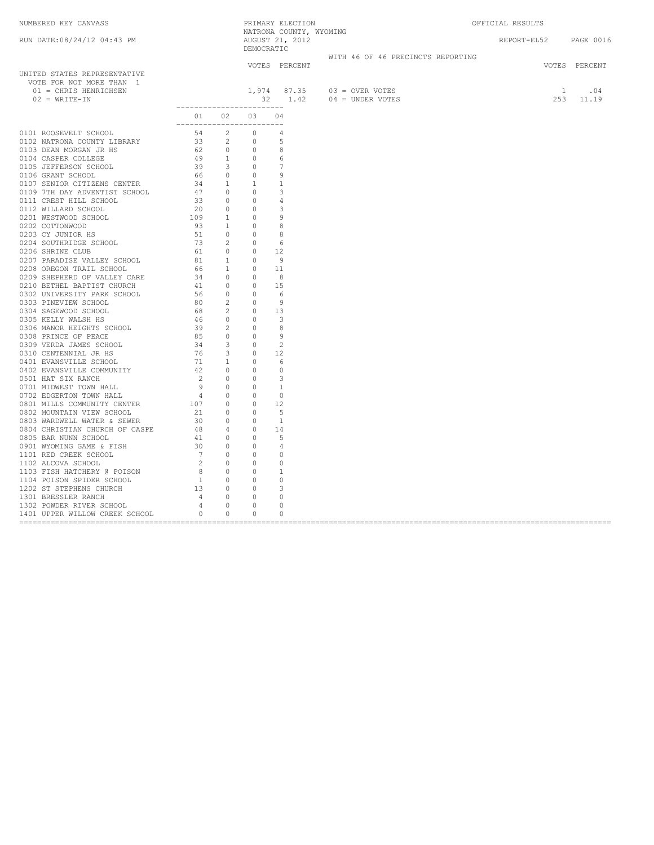| NATRONA COUNTY, WYOMING<br>RUN DATE: 08/24/12 04:43 PM<br>AUGUST 21, 2012<br>DEMOCRATIC<br>REPORT-EL52 PAGE 0016<br>WITH 46 OF 46 PRECINCTS REPORTING<br>VOTES PERCENT<br>VOTES PERCENT<br>UNITED STATES REPRESENTATIVE |  |
|-------------------------------------------------------------------------------------------------------------------------------------------------------------------------------------------------------------------------|--|
|                                                                                                                                                                                                                         |  |
|                                                                                                                                                                                                                         |  |
| VOTE FOR NOT MORE THAN 1<br>$1,974$ $87.35$ $03 = \text{OVER VOTES}$<br>1 .04<br>01 = CHRIS HENRICHSEN<br>$253$ 11.19<br>32  1.42  04 = UNDER VOTES<br>$02 = \text{WRITE}-\text{IN}$                                    |  |
| _________________________<br>01 02 03 04<br>-------------------------                                                                                                                                                   |  |
|                                                                                                                                                                                                                         |  |
|                                                                                                                                                                                                                         |  |
|                                                                                                                                                                                                                         |  |
|                                                                                                                                                                                                                         |  |
|                                                                                                                                                                                                                         |  |
|                                                                                                                                                                                                                         |  |
|                                                                                                                                                                                                                         |  |
|                                                                                                                                                                                                                         |  |
|                                                                                                                                                                                                                         |  |
|                                                                                                                                                                                                                         |  |
|                                                                                                                                                                                                                         |  |
|                                                                                                                                                                                                                         |  |
|                                                                                                                                                                                                                         |  |
|                                                                                                                                                                                                                         |  |
|                                                                                                                                                                                                                         |  |
|                                                                                                                                                                                                                         |  |
|                                                                                                                                                                                                                         |  |
|                                                                                                                                                                                                                         |  |
|                                                                                                                                                                                                                         |  |
|                                                                                                                                                                                                                         |  |
|                                                                                                                                                                                                                         |  |
|                                                                                                                                                                                                                         |  |
|                                                                                                                                                                                                                         |  |
|                                                                                                                                                                                                                         |  |
|                                                                                                                                                                                                                         |  |
|                                                                                                                                                                                                                         |  |
|                                                                                                                                                                                                                         |  |
|                                                                                                                                                                                                                         |  |
|                                                                                                                                                                                                                         |  |
|                                                                                                                                                                                                                         |  |
|                                                                                                                                                                                                                         |  |
|                                                                                                                                                                                                                         |  |
|                                                                                                                                                                                                                         |  |
|                                                                                                                                                                                                                         |  |
|                                                                                                                                                                                                                         |  |
|                                                                                                                                                                                                                         |  |
|                                                                                                                                                                                                                         |  |
|                                                                                                                                                                                                                         |  |
|                                                                                                                                                                                                                         |  |
|                                                                                                                                                                                                                         |  |
|                                                                                                                                                                                                                         |  |
|                                                                                                                                                                                                                         |  |
|                                                                                                                                                                                                                         |  |
|                                                                                                                                                                                                                         |  |
|                                                                                                                                                                                                                         |  |
|                                                                                                                                                                                                                         |  |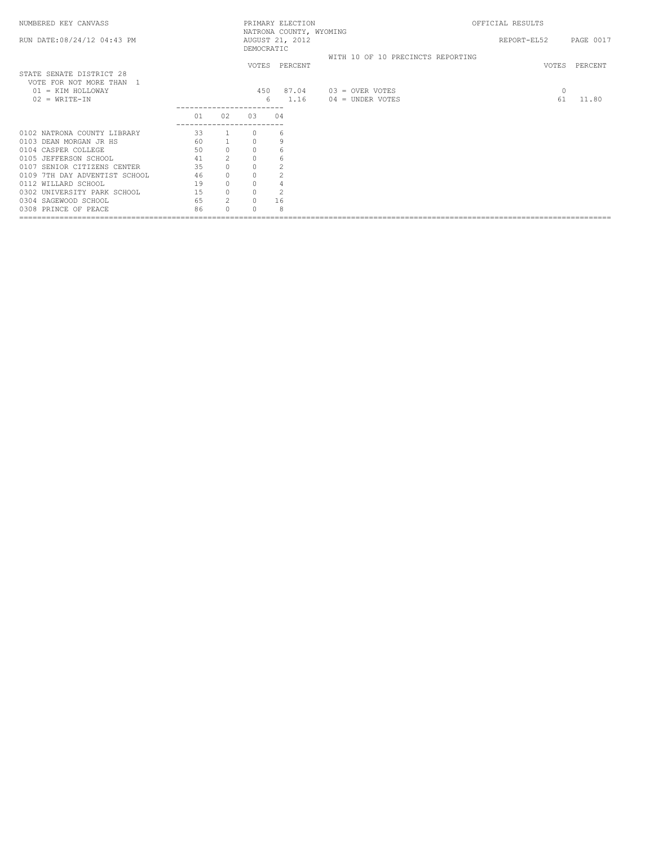| NUMBERED KEY CANVASS                                             |          |                           |                         | PRIMARY ELECTION                           |                                         | OFFICIAL RESULTS |               |           |
|------------------------------------------------------------------|----------|---------------------------|-------------------------|--------------------------------------------|-----------------------------------------|------------------|---------------|-----------|
| RUN DATE: 08/24/12 04:43 PM                                      |          |                           | DEMOCRATIC              | NATRONA COUNTY, WYOMING<br>AUGUST 21, 2012 |                                         | REPORT-EL52      |               | PAGE 0017 |
| STATE SENATE DISTRICT 28                                         |          |                           |                         | VOTES PERCENT                              | WITH 10 OF 10 PRECINCTS REPORTING       |                  | VOTES         | PERCENT   |
| VOTE FOR NOT MORE THAN 1<br>01 = KIM HOLLOWAY<br>$02 = WRITE-IN$ |          |                           | 450<br>6                | 87.04<br>1.16                              | $03 =$ OVER VOTES<br>$04 = UNDER VOTES$ |                  | $\circ$<br>61 | 11.80     |
|                                                                  | 01       | 02                        | 0.3                     | 04                                         |                                         |                  |               |           |
| 0102 NATRONA COUNTY LIBRARY                                      | 33       | $\mathbf{1}$              | $\Omega$                | 6                                          |                                         |                  |               |           |
| 0103 DEAN MORGAN JR HS<br>0104 CASPER COLLEGE                    | 60<br>50 | $\mathbf{1}$<br>$\circ$   | $\circ$<br>$\circ$      | 9<br>6                                     |                                         |                  |               |           |
| 0105 JEFFERSON SCHOOL<br>0107 SENIOR CITIZENS CENTER             | 41<br>35 | $\overline{2}$<br>$\circ$ | $\mathbf 0$<br>$\circ$  | 6                                          |                                         |                  |               |           |
| 0109 7TH DAY ADVENTIST SCHOOL<br>0112 WILLARD SCHOOL             | 46<br>19 | $\circ$<br>$\circ$        | $\circ$<br>$\circ$      | $\overline{2}$                             |                                         |                  |               |           |
| 0302 UNIVERSITY PARK SCHOOL<br>0304 SAGEWOOD SCHOOL              | 15<br>65 | $\circ$<br>2              | $\circ$<br>$\mathbf{0}$ | $\overline{c}$<br>16                       |                                         |                  |               |           |
| 0308 PRINCE OF PEACE                                             | 86       | $\cap$                    | $\cap$                  | 8                                          |                                         |                  |               |           |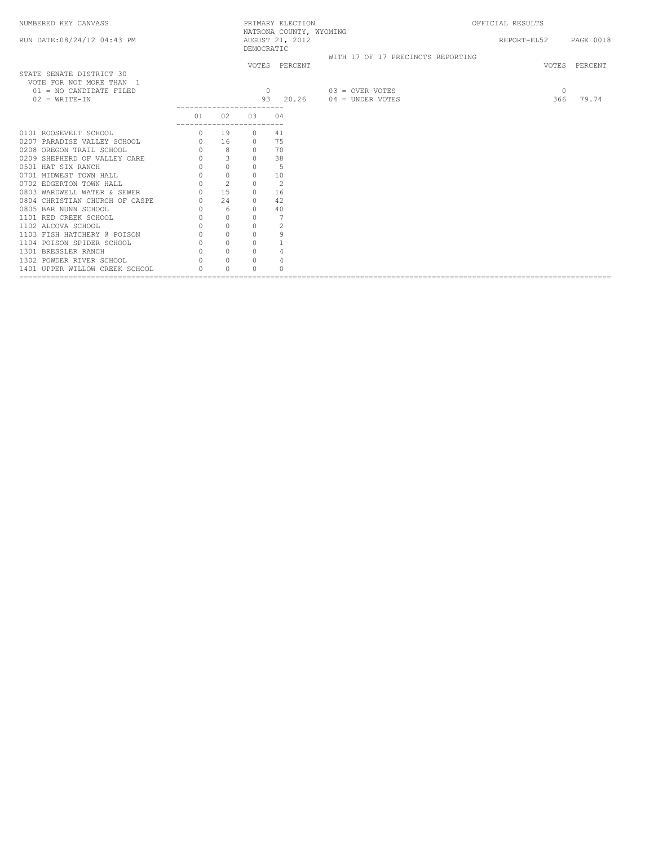| NUMBERED KEY CANVASS                                 |                           |           |            | PRIMARY ELECTION                           |                                   | OFFICIAL RESULTS |               |
|------------------------------------------------------|---------------------------|-----------|------------|--------------------------------------------|-----------------------------------|------------------|---------------|
| RUN DATE: 08/24/12 04:43 PM                          |                           |           | DEMOCRATIC | NATRONA COUNTY, WYOMING<br>AUGUST 21, 2012 |                                   | REPORT-EL52      | PAGE 0018     |
|                                                      |                           |           |            | VOTES PERCENT                              | WITH 17 OF 17 PRECINCTS REPORTING |                  | VOTES PERCENT |
| STATE SENATE DISTRICT 30<br>VOTE FOR NOT MORE THAN 1 |                           |           |            |                                            |                                   |                  |               |
| $01 = NO$ CANDIDATE FILED                            |                           |           |            | $\Omega$                                   | $03 =$ OVER VOTES                 | $\Omega$         |               |
| $02 = \text{WRTTE} - \text{IN}$                      |                           |           |            |                                            | 93  20.26  04 = UNDER VOTES       |                  | 366 79.74     |
|                                                      |                           | 01 02     | 03 04      |                                            |                                   |                  |               |
| 0101 ROOSEVELT SCHOOL                                | ------------------------- | $0 \t 19$ | $\Omega$   | 41                                         |                                   |                  |               |
|                                                      |                           |           |            |                                            |                                   |                  |               |
|                                                      |                           |           |            |                                            |                                   |                  |               |
|                                                      |                           |           |            |                                            |                                   |                  |               |
|                                                      |                           |           |            |                                            |                                   |                  |               |
|                                                      |                           |           |            |                                            |                                   |                  |               |
|                                                      |                           |           |            |                                            |                                   |                  |               |
|                                                      |                           |           |            |                                            |                                   |                  |               |
|                                                      |                           |           |            |                                            |                                   |                  |               |
|                                                      |                           |           |            |                                            |                                   |                  |               |
|                                                      |                           |           |            |                                            |                                   |                  |               |
|                                                      |                           |           |            |                                            |                                   |                  |               |
|                                                      |                           |           |            |                                            |                                   |                  |               |
|                                                      |                           |           |            |                                            |                                   |                  |               |
|                                                      |                           |           |            |                                            |                                   |                  |               |
|                                                      |                           |           |            |                                            |                                   |                  |               |
| 1401 UPPER WILLOW CREEK SCHOOL                       |                           | $\cap$    | $\Omega$   |                                            |                                   |                  |               |
|                                                      |                           |           |            |                                            |                                   |                  |               |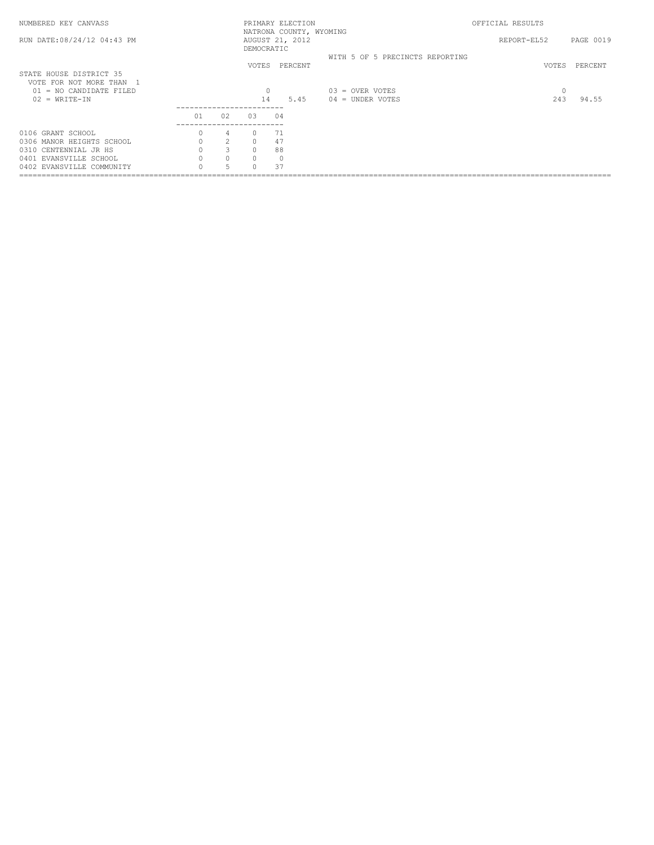| NUMBERED KEY CANVASS                                |    |                |                              | PRIMARY ELECTION<br>NATRONA COUNTY, WYOMING |                                         | OFFICIAL RESULTS |           |
|-----------------------------------------------------|----|----------------|------------------------------|---------------------------------------------|-----------------------------------------|------------------|-----------|
| RUN DATE: 08/24/12 04:43 PM                         |    |                | DEMOCRATIC                   | AUGUST 21, 2012                             |                                         | REPORT-EL52      | PAGE 0019 |
|                                                     |    |                | VOTES                        | PERCENT                                     | WITH 5 OF 5 PRECINCTS REPORTING         | VOTES            | PERCENT   |
| STATE HOUSE DISTRICT 35<br>VOTE FOR NOT MORE THAN 1 |    |                |                              |                                             |                                         |                  |           |
| $01 = NO$ CANDIDATE FILED<br>$02 = WRTTE-TN$        |    |                | 0<br>14                      | 5.45                                        | $03 =$ OVER VOTES<br>$04 =$ UNDER VOTES | 0<br>243         | 94.55     |
|                                                     | 01 | 02             | ---------------------<br>0.3 | 04                                          |                                         |                  |           |
| 0106 GRANT SCHOOL                                   |    | 4              |                              | 71                                          |                                         |                  |           |
| 0306 MANOR HEIGHTS SCHOOL                           |    | $\mathfrak{D}$ |                              | 47                                          |                                         |                  |           |
| 0310 CENTENNIAL JR HS                               |    | 3              | $\cap$                       | 88                                          |                                         |                  |           |
| 0401 EVANSVILLE SCHOOL                              |    | $\Omega$       | $\cap$                       | $\Omega$                                    |                                         |                  |           |
| 0402 EVANSVILLE COMMUNITY                           |    |                |                              | 37                                          |                                         |                  |           |
|                                                     |    |                |                              |                                             |                                         |                  |           |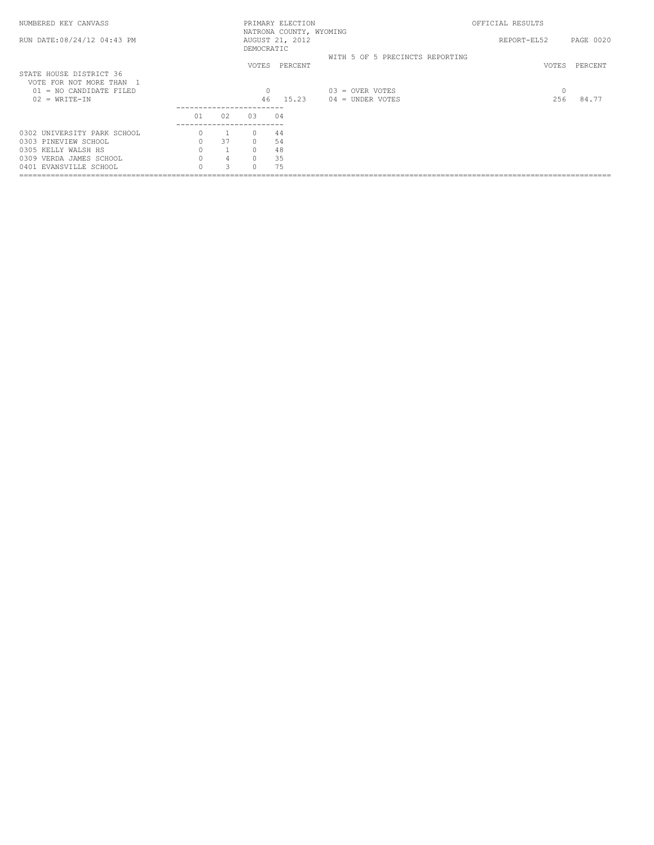| NUMBERED KEY CANVASS                                |    |               |                              | PRIMARY ELECTION<br>NATRONA COUNTY, WYOMING |                                         | OFFICIAL RESULTS |           |
|-----------------------------------------------------|----|---------------|------------------------------|---------------------------------------------|-----------------------------------------|------------------|-----------|
| RUN DATE: 08/24/12 04:43 PM                         |    |               | DEMOCRATIC                   | AUGUST 21, 2012                             |                                         | REPORT-EL52      | PAGE 0020 |
|                                                     |    |               | VOTES                        | PERCENT                                     | WITH 5 OF 5 PRECINCTS REPORTING         | VOTES            | PERCENT   |
| STATE HOUSE DISTRICT 36<br>VOTE FOR NOT MORE THAN 1 |    |               |                              |                                             |                                         |                  |           |
| $01 = NO$ CANDIDATE FILED<br>$02 = WRTTE-TN$        |    |               | $\Omega$<br>46               | 15.23                                       | $03 =$ OVER VOTES<br>$04 =$ UNDER VOTES | 0<br>256         | 84.77     |
|                                                     | 01 | 02            | ---------------------<br>0.3 | 04                                          |                                         |                  |           |
| 0302 UNIVERSITY PARK SCHOOL                         |    |               |                              | 44                                          |                                         |                  |           |
| 0303 PINEVIEW SCHOOL                                |    | 37            | $\cap$                       | 54                                          |                                         |                  |           |
| 0305 KELLY WALSH HS                                 |    |               | $\cap$                       | 48                                          |                                         |                  |           |
| 0309 VERDA JAMES SCHOOL                             |    | 4             | $\cap$                       | 35                                          |                                         |                  |           |
| 0401 EVANSVILLE SCHOOL                              |    | $\mathcal{D}$ |                              | 75                                          |                                         |                  |           |
|                                                     |    |               |                              |                                             |                                         |                  |           |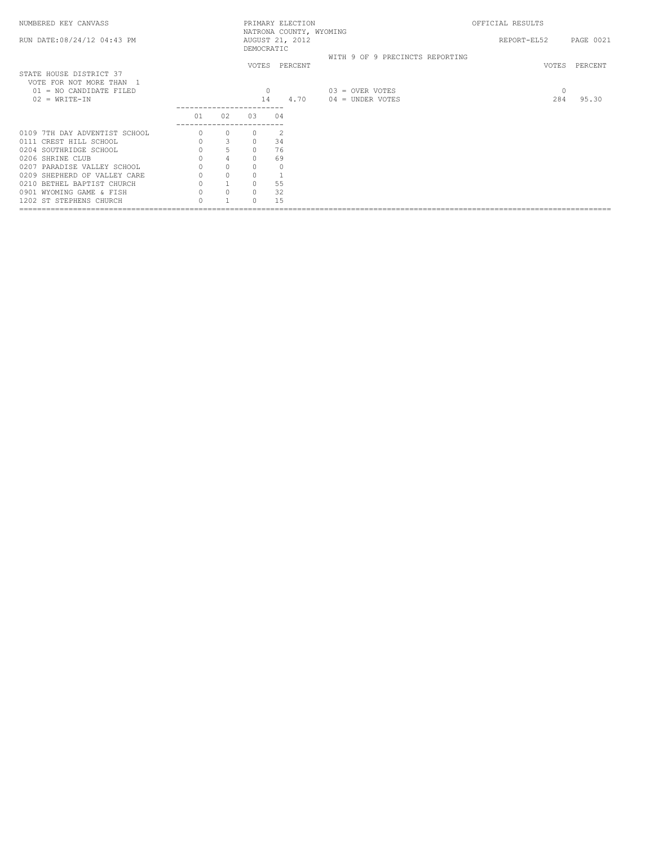| NUMBERED KEY CANVASS                                |          |                |            | PRIMARY ELECTION |                                 | OFFICIAL RESULTS |                       |
|-----------------------------------------------------|----------|----------------|------------|------------------|---------------------------------|------------------|-----------------------|
| RUN DATE: 08/24/12 04:43 PM                         |          |                | DEMOCRATIC | AUGUST 21, 2012  | NATRONA COUNTY, WYOMING         |                  | REPORT-EL52 PAGE 0021 |
|                                                     |          |                |            | VOTES PERCENT    | WITH 9 OF 9 PRECINCTS REPORTING |                  | VOTES PERCENT         |
| STATE HOUSE DISTRICT 37<br>VOTE FOR NOT MORE THAN 1 |          |                |            |                  |                                 |                  |                       |
| $01 = NO$ CANDIDATE FILED                           |          |                | $\circ$    |                  | $03 =$ OVER VOTES               |                  | $\circ$               |
| $02 = WRITE-IN$                                     |          |                | 14         | 4.70             | $04 = UNDER VOTES$              |                  | 284<br>95.30          |
|                                                     | 01       | 02             | 03         | 04               |                                 |                  |                       |
| 0109 7TH DAY ADVENTIST SCHOOL                       |          | $\circ$        |            | 2                |                                 |                  |                       |
| 0111 CREST HILL SCHOOL                              | $\circ$  | 3              | $\circ$    | 34               |                                 |                  |                       |
| 0204 SOUTHRIDGE SCHOOL                              |          | 5              | $\circ$    | 76               |                                 |                  |                       |
| 0206 SHRINE CLUB                                    |          | $\overline{4}$ | $\circ$    | 69               |                                 |                  |                       |
| 0207 PARADISE VALLEY SCHOOL                         | $\Omega$ | $\circ$        | $\circ$    | $\Omega$         |                                 |                  |                       |
| 0209 SHEPHERD OF VALLEY CARE                        |          | $\circ$        | $\circ$    |                  |                                 |                  |                       |
| 0210 BETHEL BAPTIST CHURCH                          |          |                | $\circ$    | 55               |                                 |                  |                       |
| 0901 WYOMING GAME & FISH                            |          | $\circ$        | $\circ$    | 32               |                                 |                  |                       |
| 1202 ST STEPHENS CHURCH                             |          |                | $\Omega$   | 1.5              |                                 |                  |                       |
|                                                     |          |                |            |                  |                                 |                  |                       |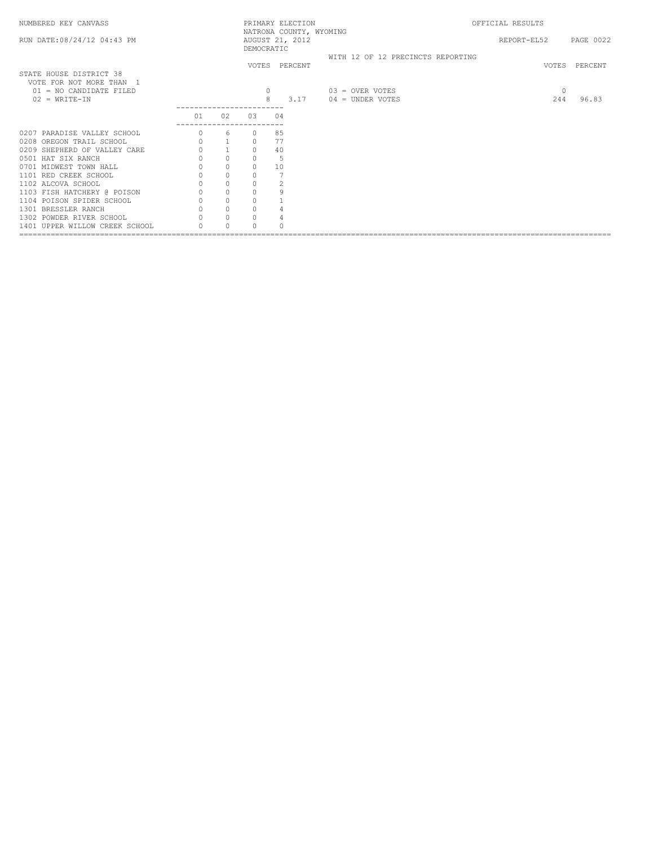| NUMBERED KEY CANVASS           |                                      |                                                |                     | PRIMARY ELECTION | NATRONA COUNTY, WYOMING |                                   | OFFICIAL RESULTS      |              |               |
|--------------------------------|--------------------------------------|------------------------------------------------|---------------------|------------------|-------------------------|-----------------------------------|-----------------------|--------------|---------------|
| RUN DATE: 08/24/12 04:43 PM    |                                      |                                                | DEMOCRATIC          | AUGUST 21, 2012  |                         |                                   | REPORT-EL52 PAGE 0022 |              |               |
|                                |                                      |                                                |                     |                  |                         | WITH 12 OF 12 PRECINCTS REPORTING |                       |              |               |
|                                |                                      |                                                |                     | VOTES PERCENT    |                         |                                   |                       |              | VOTES PERCENT |
| STATE HOUSE DISTRICT 38        |                                      |                                                |                     |                  |                         |                                   |                       |              |               |
| VOTE FOR NOT MORE THAN 1       |                                      |                                                |                     |                  |                         |                                   |                       |              |               |
| $01 = NO$ CANDIDATE FILED      |                                      |                                                |                     | $\circ$          |                         | $03 =$ OVER VOTES                 |                       | $\mathbf{0}$ |               |
| $02 = WRITE-IN$                |                                      |                                                |                     | 8<br>3.17        |                         | $04 =$ UNDER VOTES                |                       | 244          | 96.83         |
|                                |                                      |                                                |                     |                  |                         |                                   |                       |              |               |
|                                | 01                                   | 02                                             | 03                  | 04               |                         |                                   |                       |              |               |
| 0207 PARADISE VALLEY SCHOOL    |                                      | 6                                              |                     | 85               |                         |                                   |                       |              |               |
| 0208 OREGON TRAIL SCHOOL       | $\circ$                              | $\overline{\phantom{a}}$                       | $\circ$             | 77               |                         |                                   |                       |              |               |
| 0209 SHEPHERD OF VALLEY CARE   |                                      | $\,1\,$                                        | $\mathbb O$         | 40               |                         |                                   |                       |              |               |
| 0501 HAT SIX RANCH             | $\circ$                              | $\circ$                                        | $\mathbf{0}$        | 5                |                         |                                   |                       |              |               |
| 0701 MIDWEST TOWN HALL         | $\circ$                              | $\circ$                                        | $\circ$             | 10               |                         |                                   |                       |              |               |
| 1101 RED CREEK SCHOOL          | $\begin{matrix} 0 \\ 0 \end{matrix}$ |                                                | $\circ$             |                  |                         |                                   |                       |              |               |
| 1102 ALCOVA SCHOOL             |                                      | $\begin{matrix} 0 \\ 0 \\ 0 \\ 0 \end{matrix}$ | $\mathbb O$         |                  |                         |                                   |                       |              |               |
| 1103 FISH HATCHERY @ POISON    | $\circ$                              |                                                | $\circ$             | 9                |                         |                                   |                       |              |               |
| 1104 POISON SPIDER SCHOOL      | $\circ$                              |                                                | $\circ$             |                  |                         |                                   |                       |              |               |
| 1301 BRESSLER RANCH            | $\circ$                              | $\circ$                                        | $\mathsf{O}\xspace$ |                  |                         |                                   |                       |              |               |
| 1302 POWDER RIVER SCHOOL       |                                      | $\circ$                                        | $\circ$             |                  |                         |                                   |                       |              |               |
| 1401 UPPER WILLOW CREEK SCHOOL |                                      | $\Omega$                                       | $\Omega$            |                  |                         |                                   |                       |              |               |
|                                |                                      |                                                |                     |                  |                         |                                   |                       |              |               |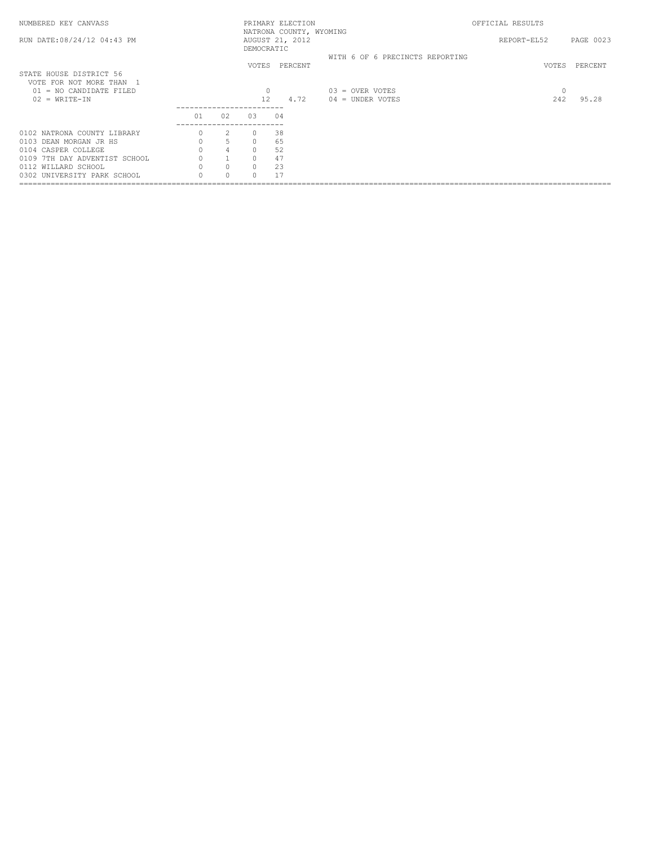| NUMBERED KEY CANVASS                              |    |                |                                      | PRIMARY ELECTION                           |                                         | OFFICIAL RESULTS |           |
|---------------------------------------------------|----|----------------|--------------------------------------|--------------------------------------------|-----------------------------------------|------------------|-----------|
| RUN DATE: 08/24/12 04:43 PM                       |    |                | DEMOCRATIC                           | NATRONA COUNTY, WYOMING<br>AUGUST 21, 2012 |                                         | REPORT-EL52      | PAGE 0023 |
| STATE HOUSE DISTRICT 56<br>VOTE FOR NOT MORE THAN |    |                |                                      | VOTES PERCENT                              | WITH 6 OF 6 PRECINCTS REPORTING         | VOTES            | PERCENT   |
| $01 = NO$ CANDIDATE FILED<br>$02 = WRTTE-TN$      |    |                | $12 \overline{ }$<br>--------------- | 4.72                                       | $03 =$ OVER VOTES<br>$04 =$ UNDER VOTES | $\circ$<br>242   | 95.28     |
|                                                   | 01 | 02             | 0.3                                  | 04                                         |                                         |                  |           |
| 0102 NATRONA COUNTY LIBRARY                       |    | 2              |                                      | 38                                         |                                         |                  |           |
| 0103 DEAN MORGAN JR HS                            |    | 5              | $\circ$                              | 65                                         |                                         |                  |           |
| 0104 CASPER COLLEGE                               |    | $\overline{4}$ | $\Omega$                             | 52                                         |                                         |                  |           |
| 0109 7TH DAY ADVENTIST SCHOOL                     |    |                | $\Omega$                             | 47                                         |                                         |                  |           |
| 0112 WILLARD SCHOOL                               |    | $\circ$        | $\circ$                              | 23                                         |                                         |                  |           |
| 0302 UNIVERSITY PARK SCHOOL                       |    |                |                                      |                                            |                                         |                  |           |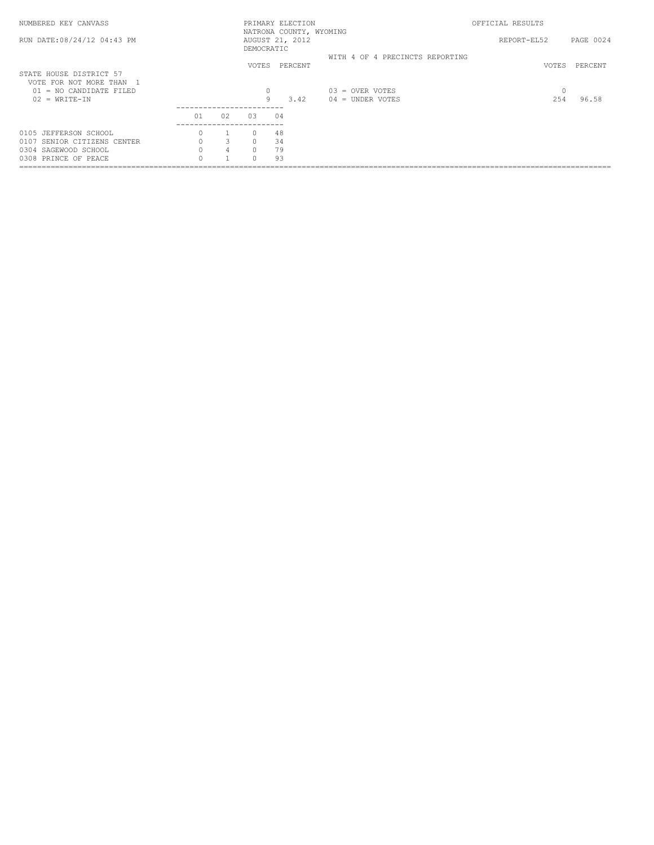| NUMBERED KEY CANVASS                                |    |                |            | PRIMARY ELECTION                           |                                 | OFFICIAL RESULTS |           |
|-----------------------------------------------------|----|----------------|------------|--------------------------------------------|---------------------------------|------------------|-----------|
| RUN DATE:08/24/12 04:43 PM                          |    |                | DEMOCRATIC | NATRONA COUNTY, WYOMING<br>AUGUST 21, 2012 |                                 | REPORT-EL52      | PAGE 0024 |
|                                                     |    |                | VOTES      | PERCENT                                    | WITH 4 OF 4 PRECINCTS REPORTING | VOTES            | PERCENT   |
| STATE HOUSE DISTRICT 57<br>VOTE FOR NOT MORE THAN 1 |    |                |            |                                            |                                 |                  |           |
| $01 = NO$ CANDIDATE FILED                           |    |                | 0          |                                            | $03 =$ OVER VOTES               | 0                |           |
| $02 = WRTTE-TN$                                     |    |                | 9          | 3.42                                       | $04 =$ UNDER VOTES              | 254              | 96.58     |
|                                                     | 01 | 02             | 0.3        | 04                                         |                                 |                  |           |
| 0105 JEFFERSON SCHOOL                               |    |                | $\Omega$   | 48                                         |                                 |                  |           |
| 0107 SENIOR CITIZENS CENTER                         |    | 3              | $\Omega$   | 34                                         |                                 |                  |           |
| 0304 SAGEWOOD SCHOOL                                |    | $\overline{4}$ | $\Omega$   | 79                                         |                                 |                  |           |
| 0308 PRINCE OF PEACE                                |    |                | $\Omega$   | 93                                         |                                 |                  |           |
|                                                     |    |                |            |                                            |                                 |                  |           |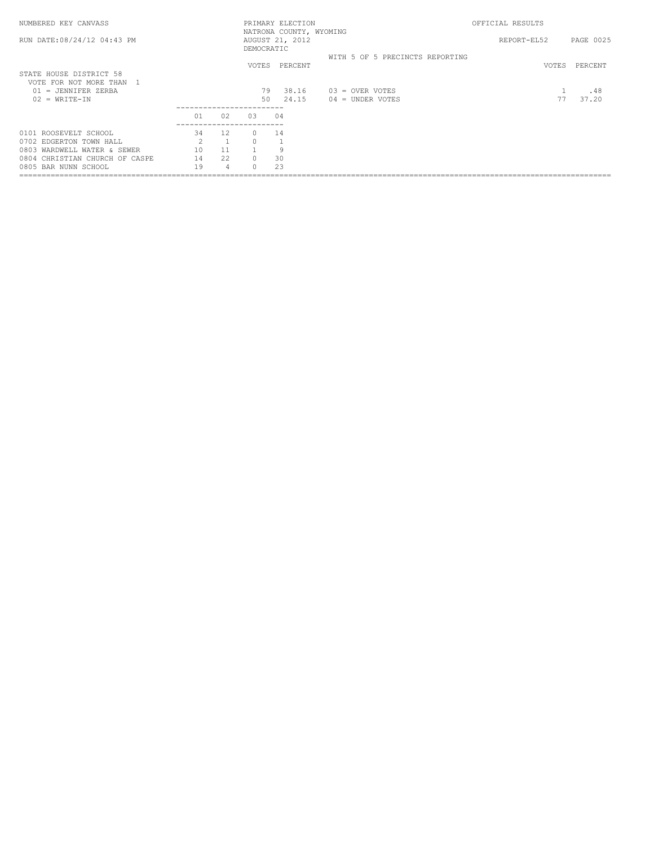| NUMBERED KEY CANVASS                              |               |      |                             | PRIMARY ELECTION                           |                                 | OFFICIAL RESULTS |           |
|---------------------------------------------------|---------------|------|-----------------------------|--------------------------------------------|---------------------------------|------------------|-----------|
| RUN DATE: 08/24/12 04:43 PM                       |               |      | DEMOCRATIC                  | NATRONA COUNTY, WYOMING<br>AUGUST 21, 2012 |                                 | REPORT-EL52      | PAGE 0025 |
|                                                   |               |      | <b>VOTES</b>                | PERCENT                                    | WITH 5 OF 5 PRECINCTS REPORTING | VOTES            | PERCENT   |
| STATE HOUSE DISTRICT 58<br>VOTE FOR NOT MORE THAN |               |      |                             |                                            |                                 |                  |           |
| $01 = JENNIFER ZERBA$                             |               |      | 79                          | 38.16                                      | $03 =$ OVER VOTES               |                  | .48       |
| $02 = WRTTE-TN$                                   |               |      | 50<br>--------------------- | 24.15                                      | $04 =$ UNDER VOTES              |                  | 37.20     |
|                                                   | 01            | 02   | 0.3                         | 04                                         |                                 |                  |           |
| 0101 ROOSEVELT SCHOOL                             | 34            | 12   |                             | 14                                         |                                 |                  |           |
| 0702 EDGERTON TOWN HALL                           | $\mathcal{D}$ |      |                             |                                            |                                 |                  |           |
| 0803 WARDWELL WATER & SEWER                       | 10            |      |                             | q                                          |                                 |                  |           |
| 0804 CHRISTIAN CHURCH OF CASPE                    | 14            | 22.2 | $\cap$                      | 30                                         |                                 |                  |           |
| 0805 BAR NUNN SCHOOL                              | 19            | 4    |                             | 23                                         |                                 |                  |           |
|                                                   |               |      |                             |                                            |                                 |                  |           |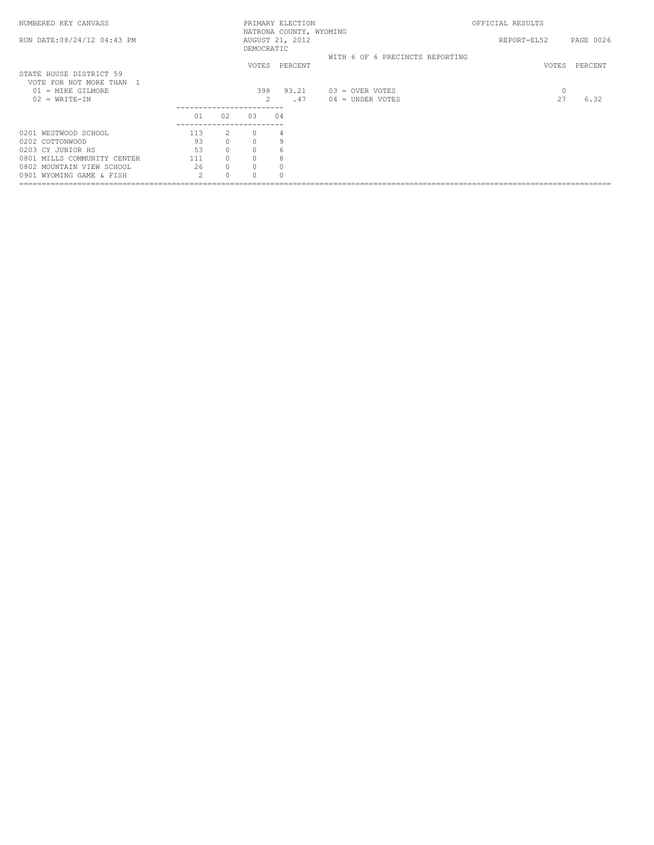| NUMBERED KEY CANVASS                                                                      |                |                |            | PRIMARY ELECTION                           |                                       | OFFICIAL RESULTS |           |
|-------------------------------------------------------------------------------------------|----------------|----------------|------------|--------------------------------------------|---------------------------------------|------------------|-----------|
| RUN DATE: 08/24/12 04:43 PM                                                               |                |                | DEMOCRATIC | NATRONA COUNTY, WYOMING<br>AUGUST 21, 2012 |                                       | REPORT-EL52      | PAGE 0026 |
|                                                                                           |                |                |            | VOTES PERCENT                              | WITH 6 OF 6 PRECINCTS REPORTING       | VOTES            | PERCENT   |
| STATE HOUSE DISTRICT 59<br>VOTE FOR NOT MORE THAN<br>01 = MIKE GILMORE<br>$02 = WRTTE-IN$ |                |                | 398        | 93.21<br>$\mathfrak{D}$<br>.47             | 03 = OVER VOTES<br>$04 =$ UNDER VOTES | $\circ$<br>27    | 6.32      |
|                                                                                           | 01             | 02             | 03         | 04                                         |                                       |                  |           |
| 0201 WESTWOOD SCHOOL                                                                      | 113            | $\overline{2}$ | $\Omega$   | 4                                          |                                       |                  |           |
| 0202 COTTONWOOD                                                                           | 93             | $\Omega$       | $\cap$     | 9                                          |                                       |                  |           |
| 0203 CY JUNIOR HS                                                                         | 53             | $\circ$        | $\Omega$   | 6                                          |                                       |                  |           |
| 0801 MILLS COMMUNITY CENTER                                                               | 111            | $\circ$        | $\Omega$   | 8                                          |                                       |                  |           |
| 0802 MOUNTAIN VIEW SCHOOL                                                                 | 26             | $\circ$        | $\Omega$   |                                            |                                       |                  |           |
| 0901 WYOMING GAME & FISH                                                                  | $\mathfrak{D}$ | $\Omega$       |            |                                            |                                       |                  |           |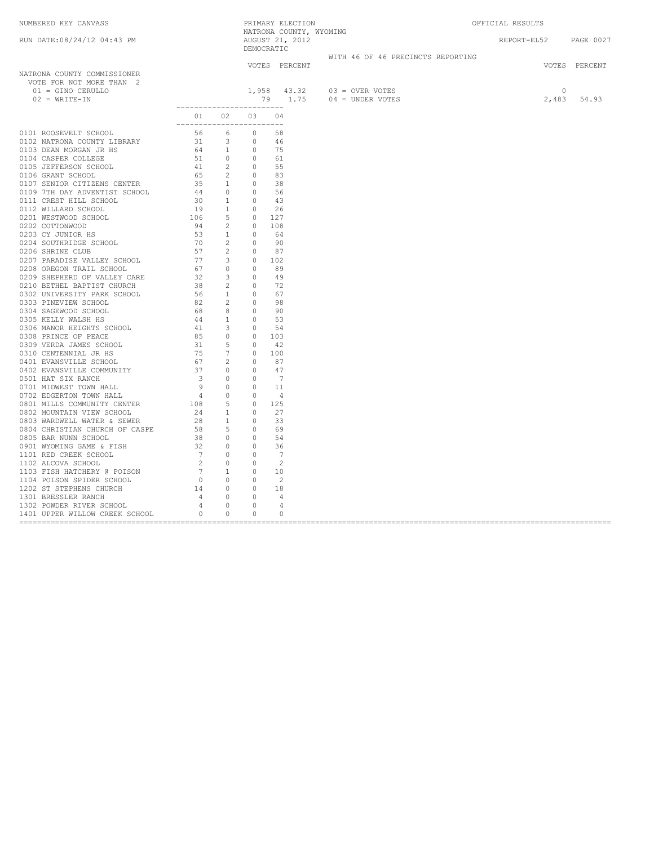| NUMBERED KEY CANVASS<br>RUN DATE:08/24/12 04:43 PM                                                                                                                                                                                                                                                                                                              |                                           |  |                                        |                                                         | PRIMARY ELECTION<br>NATRONA COUNTY, WYOMING | OFFICIAL RESULTS                           |               |
|-----------------------------------------------------------------------------------------------------------------------------------------------------------------------------------------------------------------------------------------------------------------------------------------------------------------------------------------------------------------|-------------------------------------------|--|----------------------------------------|---------------------------------------------------------|---------------------------------------------|--------------------------------------------|---------------|
|                                                                                                                                                                                                                                                                                                                                                                 |                                           |  | NIIII<br>AUGUST 21, 2012<br>DEMOCRATIC |                                                         |                                             | REPORT-EL52 PAGE 0027                      |               |
|                                                                                                                                                                                                                                                                                                                                                                 |                                           |  |                                        |                                                         | WITH 46 OF 46 PRECINCTS REPORTING           |                                            |               |
|                                                                                                                                                                                                                                                                                                                                                                 |                                           |  | VOTES PERCENT                          |                                                         |                                             |                                            | VOTES PERCENT |
| NATRONA COUNTY COMMISSIONER<br>VOTE FOR NOT MORE THAN 2                                                                                                                                                                                                                                                                                                         |                                           |  |                                        |                                                         |                                             |                                            |               |
| 01 = GINO CERULLO<br>$02 = WRITE-IN$                                                                                                                                                                                                                                                                                                                            |                                           |  |                                        | 1,958 43.32 03 = OVER VOTES<br>79 1.75 04 = UNDER VOTES |                                             | $\begin{matrix}0\\2,483\end{matrix}$ 54.93 |               |
| $\begin{tabular}{cccc} 0111 & \text{ROOSVELT E-GNOOL} & 011 & 02 & 03 & 04 \\ 0102 & \text{MATEWAC GOWI LIBARRY} & 56 & 6 & 98 \\ 0103 & \text{MATEWAC GOWI LIBARRY} & 56 & 6 & 98 \\ 0104 & \text{CASEPE SCOM LCR} & 54 & 3 & 0 & 45 \\ 0106 & \text{CASEPE SCOM LCR} & 54 & 2 & 0 & 55 \\ 0106 & \text{CAARY T SCHOMC} & 54 & 2 & 0 & 55 \\ 0107 & \text{SEW$ | __________________________<br>01 02 03 04 |  |                                        |                                                         |                                             |                                            |               |
|                                                                                                                                                                                                                                                                                                                                                                 | ___________________________               |  |                                        |                                                         |                                             |                                            |               |
|                                                                                                                                                                                                                                                                                                                                                                 |                                           |  |                                        |                                                         |                                             |                                            |               |
|                                                                                                                                                                                                                                                                                                                                                                 |                                           |  |                                        |                                                         |                                             |                                            |               |
|                                                                                                                                                                                                                                                                                                                                                                 |                                           |  |                                        |                                                         |                                             |                                            |               |
|                                                                                                                                                                                                                                                                                                                                                                 |                                           |  |                                        |                                                         |                                             |                                            |               |
|                                                                                                                                                                                                                                                                                                                                                                 |                                           |  |                                        |                                                         |                                             |                                            |               |
|                                                                                                                                                                                                                                                                                                                                                                 |                                           |  |                                        |                                                         |                                             |                                            |               |
|                                                                                                                                                                                                                                                                                                                                                                 |                                           |  |                                        |                                                         |                                             |                                            |               |
|                                                                                                                                                                                                                                                                                                                                                                 |                                           |  |                                        |                                                         |                                             |                                            |               |
|                                                                                                                                                                                                                                                                                                                                                                 |                                           |  |                                        |                                                         |                                             |                                            |               |
|                                                                                                                                                                                                                                                                                                                                                                 |                                           |  |                                        |                                                         |                                             |                                            |               |
|                                                                                                                                                                                                                                                                                                                                                                 |                                           |  |                                        |                                                         |                                             |                                            |               |
|                                                                                                                                                                                                                                                                                                                                                                 |                                           |  |                                        |                                                         |                                             |                                            |               |
|                                                                                                                                                                                                                                                                                                                                                                 |                                           |  |                                        |                                                         |                                             |                                            |               |
|                                                                                                                                                                                                                                                                                                                                                                 |                                           |  |                                        |                                                         |                                             |                                            |               |
|                                                                                                                                                                                                                                                                                                                                                                 |                                           |  |                                        |                                                         |                                             |                                            |               |
|                                                                                                                                                                                                                                                                                                                                                                 |                                           |  |                                        |                                                         |                                             |                                            |               |
|                                                                                                                                                                                                                                                                                                                                                                 |                                           |  |                                        |                                                         |                                             |                                            |               |
|                                                                                                                                                                                                                                                                                                                                                                 |                                           |  |                                        |                                                         |                                             |                                            |               |
|                                                                                                                                                                                                                                                                                                                                                                 |                                           |  |                                        |                                                         |                                             |                                            |               |
|                                                                                                                                                                                                                                                                                                                                                                 |                                           |  |                                        |                                                         |                                             |                                            |               |
|                                                                                                                                                                                                                                                                                                                                                                 |                                           |  |                                        |                                                         |                                             |                                            |               |
|                                                                                                                                                                                                                                                                                                                                                                 |                                           |  |                                        |                                                         |                                             |                                            |               |
|                                                                                                                                                                                                                                                                                                                                                                 |                                           |  |                                        |                                                         |                                             |                                            |               |
|                                                                                                                                                                                                                                                                                                                                                                 |                                           |  |                                        |                                                         |                                             |                                            |               |
|                                                                                                                                                                                                                                                                                                                                                                 |                                           |  |                                        |                                                         |                                             |                                            |               |
|                                                                                                                                                                                                                                                                                                                                                                 |                                           |  |                                        |                                                         |                                             |                                            |               |
|                                                                                                                                                                                                                                                                                                                                                                 |                                           |  |                                        |                                                         |                                             |                                            |               |
|                                                                                                                                                                                                                                                                                                                                                                 |                                           |  |                                        |                                                         |                                             |                                            |               |
|                                                                                                                                                                                                                                                                                                                                                                 |                                           |  |                                        |                                                         |                                             |                                            |               |
|                                                                                                                                                                                                                                                                                                                                                                 |                                           |  |                                        |                                                         |                                             |                                            |               |
|                                                                                                                                                                                                                                                                                                                                                                 |                                           |  |                                        |                                                         |                                             |                                            |               |
|                                                                                                                                                                                                                                                                                                                                                                 |                                           |  |                                        |                                                         |                                             |                                            |               |
|                                                                                                                                                                                                                                                                                                                                                                 |                                           |  |                                        |                                                         |                                             |                                            |               |
|                                                                                                                                                                                                                                                                                                                                                                 |                                           |  |                                        |                                                         |                                             |                                            |               |
|                                                                                                                                                                                                                                                                                                                                                                 |                                           |  |                                        |                                                         |                                             |                                            |               |
|                                                                                                                                                                                                                                                                                                                                                                 |                                           |  |                                        |                                                         |                                             |                                            |               |
|                                                                                                                                                                                                                                                                                                                                                                 |                                           |  |                                        |                                                         |                                             |                                            |               |
|                                                                                                                                                                                                                                                                                                                                                                 |                                           |  |                                        |                                                         |                                             |                                            |               |
|                                                                                                                                                                                                                                                                                                                                                                 |                                           |  |                                        |                                                         |                                             |                                            |               |
|                                                                                                                                                                                                                                                                                                                                                                 |                                           |  |                                        |                                                         |                                             |                                            |               |
|                                                                                                                                                                                                                                                                                                                                                                 |                                           |  |                                        |                                                         |                                             |                                            |               |
|                                                                                                                                                                                                                                                                                                                                                                 |                                           |  |                                        |                                                         |                                             |                                            |               |
|                                                                                                                                                                                                                                                                                                                                                                 |                                           |  |                                        |                                                         |                                             |                                            |               |
|                                                                                                                                                                                                                                                                                                                                                                 |                                           |  |                                        |                                                         |                                             |                                            |               |
|                                                                                                                                                                                                                                                                                                                                                                 |                                           |  |                                        |                                                         |                                             |                                            |               |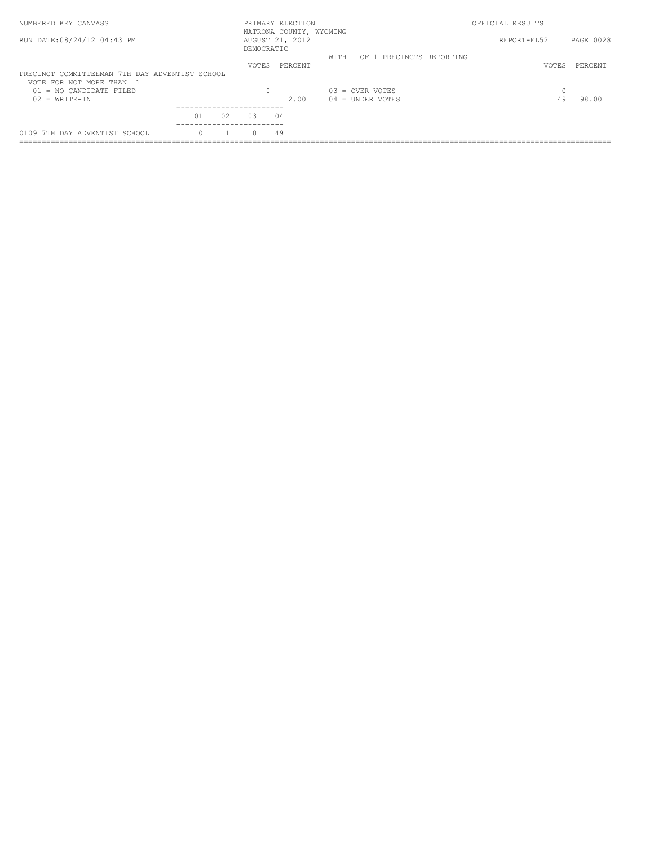| NUMBERED KEY CANVASS                                                       |    |    |              | PRIMARY ELECTION<br>NATRONA COUNTY, WYOMING |                                 | OFFICIAL RESULTS |           |
|----------------------------------------------------------------------------|----|----|--------------|---------------------------------------------|---------------------------------|------------------|-----------|
| RUN DATE: 08/24/12 04:43 PM                                                |    |    | DEMOCRATIC   | AUGUST 21, 2012                             |                                 | REPORT-EL52      | PAGE 0028 |
|                                                                            |    |    | <b>VOTES</b> | PERCENT                                     | WITH 1 OF 1 PRECINCTS REPORTING | <b>VOTES</b>     | PERCENT   |
| PRECINCT COMMITTEEMAN 7TH DAY ADVENTIST SCHOOL<br>VOTE FOR NOT MORE THAN 1 |    |    |              |                                             |                                 |                  |           |
| = NO CANDIDATE FILED<br>01                                                 |    |    | 0            |                                             | $0.3$ = OVER VOTES              |                  |           |
| $02 = WRTT E - TN$                                                         |    |    |              | 2.00                                        | $04 =$ UNDER VOTES              | 49               | 98.00     |
|                                                                            |    |    | --------     |                                             |                                 |                  |           |
|                                                                            | 01 | 02 | 0.3          | 04                                          |                                 |                  |           |
| 0109 7TH DAY ADVENTIST SCHOOL                                              |    |    | $\cap$       | 49                                          |                                 |                  |           |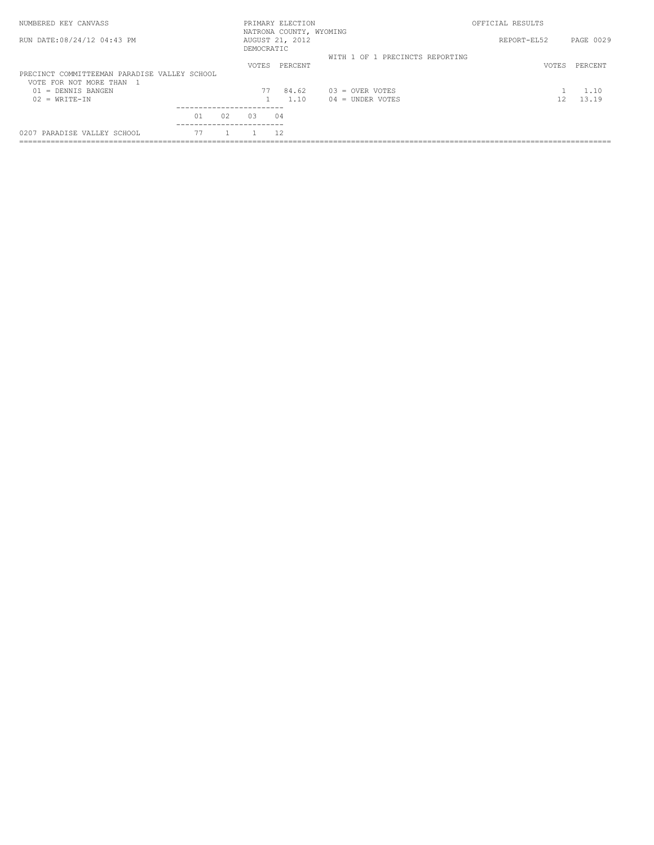| NUMBERED KEY CANVASS                         |    |    |              | PRIMARY ELECTION                           |                                 | OFFICIAL RESULTS |           |  |
|----------------------------------------------|----|----|--------------|--------------------------------------------|---------------------------------|------------------|-----------|--|
| RUN DATE: 08/24/12 04:43 PM                  |    |    | DEMOCRATIC   | NATRONA COUNTY, WYOMING<br>AUGUST 21, 2012 |                                 | REPORT-EL52      | PAGE 0029 |  |
|                                              |    |    |              |                                            | WITH 1 OF 1 PRECINCTS REPORTING |                  |           |  |
|                                              |    |    | <b>VOTES</b> | PERCENT                                    |                                 | VOTES            | PERCENT   |  |
| PRECINCT COMMITTEEMAN PARADISE VALLEY SCHOOL |    |    |              |                                            |                                 |                  |           |  |
| VOTE FOR NOT MORE THAN 1                     |    |    |              |                                            |                                 |                  |           |  |
| $01 =$ DENNIS BANGEN                         |    |    | 77           | 84.62                                      | $03 =$ OVER VOTES               |                  | 1.10      |  |
| $02 = WRTT E - TN$                           |    |    |              | 1.10                                       | $04 =$ UNDER VOTES              | 12               | 13.19     |  |
|                                              |    |    |              |                                            |                                 |                  |           |  |
|                                              | 01 | 02 | 0.3          | 04                                         |                                 |                  |           |  |
|                                              |    |    |              |                                            |                                 |                  |           |  |
| 0207 PARADISE VALLEY SCHOOL                  |    |    |              |                                            |                                 |                  |           |  |
|                                              |    |    |              |                                            |                                 |                  |           |  |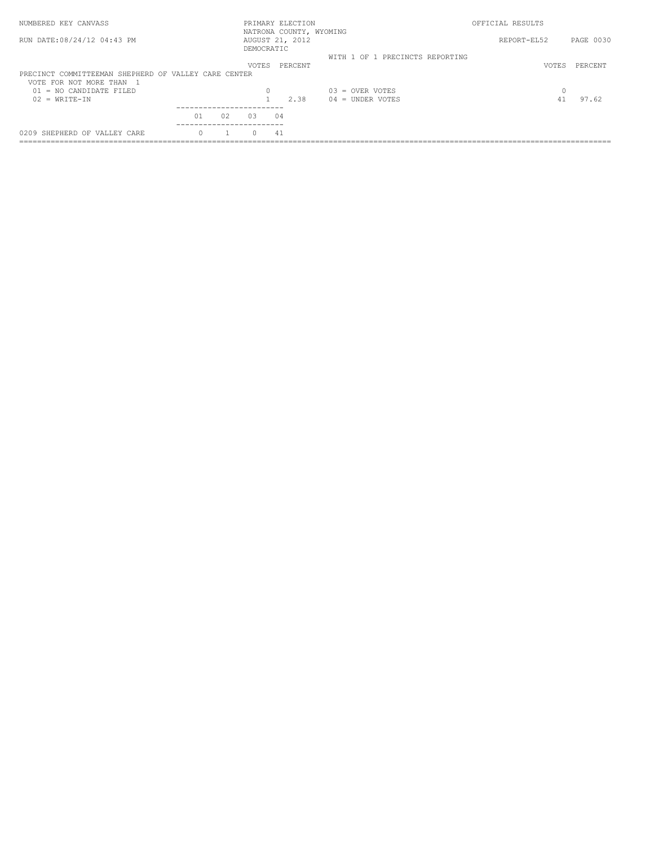| NUMBERED KEY CANVASS                                                             |    |            | PRIMARY ELECTION<br>NATRONA COUNTY, WYOMING |                                 | OFFICIAL RESULTS |           |
|----------------------------------------------------------------------------------|----|------------|---------------------------------------------|---------------------------------|------------------|-----------|
| RUN DATE:08/24/12 04:43 PM                                                       |    | DEMOCRATIC | AUGUST 21, 2012                             |                                 | REPORT-EL52      | PAGE 0030 |
|                                                                                  |    |            |                                             | WITH 1 OF 1 PRECINCTS REPORTING |                  |           |
| PRECINCT COMMITTEEMAN SHEPHERD OF VALLEY CARE CENTER<br>VOTE FOR NOT MORE THAN 1 |    | VOTES      | PERCENT                                     |                                 | <b>VOTES</b>     | PERCENT   |
| $01 = NO$ CANDIDATE FILED                                                        |    |            |                                             | $03 =$ OVER VOTES               | 0                |           |
| $02 = WRTTE-TN$                                                                  |    |            | 2.38                                        | $04 =$ UNDER VOTES              | 41               | 97.62     |
|                                                                                  |    |            |                                             |                                 |                  |           |
| 01                                                                               | 02 | 0.3        | 04                                          |                                 |                  |           |
|                                                                                  |    |            |                                             |                                 |                  |           |
| 0209 SHEPHERD OF VALLEY CARE                                                     |    | $\cap$     | 41                                          |                                 |                  |           |
|                                                                                  |    |            |                                             |                                 |                  |           |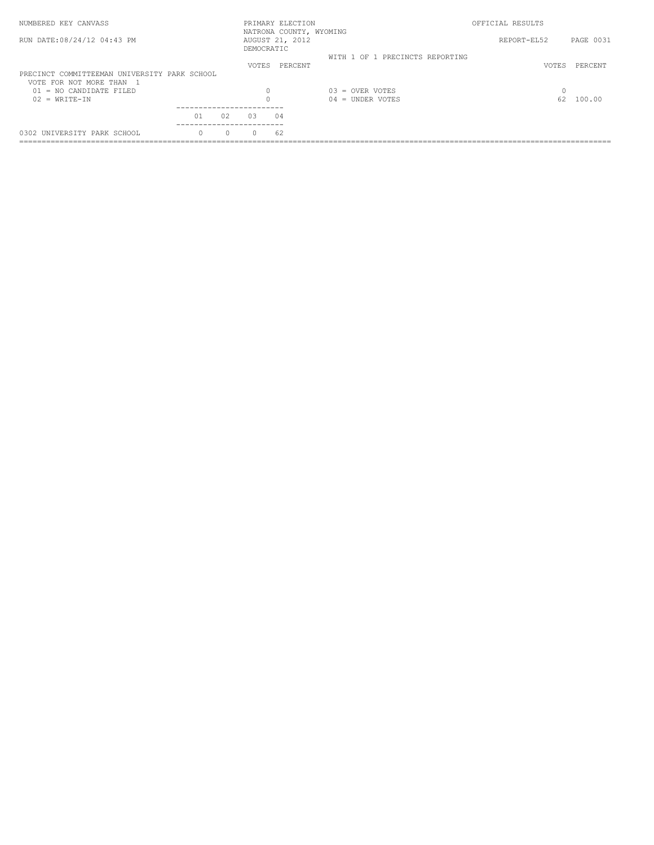| NUMBERED KEY CANVASS                                                   |    |        |            | PRIMARY ELECTION<br>NATRONA COUNTY, WYOMING |                                 | OFFICIAL RESULTS |                  |
|------------------------------------------------------------------------|----|--------|------------|---------------------------------------------|---------------------------------|------------------|------------------|
| RUN DATE: 08/24/12 04:43 PM                                            |    |        | DEMOCRATIC | AUGUST 21, 2012                             |                                 | REPORT-EL52      | <b>PAGE 0031</b> |
|                                                                        |    |        | VOTES      | PERCENT                                     | WITH 1 OF 1 PRECINCTS REPORTING |                  | PERCENT          |
| PRECINCT COMMITTEEMAN UNIVERSITY PARK SCHOOL<br>VOTE FOR NOT MORE THAN |    |        |            |                                             |                                 | VOTES            |                  |
| $01 = NO CANDIDATE FILED$                                              |    |        |            |                                             | $0.3$ = OVER VOTES              | $\Omega$         |                  |
| $02 = WRTTE-TN$                                                        |    |        |            |                                             | $04 =$ UNDER VOTES              | 62               | 100.00           |
|                                                                        |    |        |            |                                             |                                 |                  |                  |
|                                                                        | 01 | 02     | 03         | 04                                          |                                 |                  |                  |
| 0302 UNIVERSITY PARK SCHOOL                                            |    | $\cap$ |            | 62                                          |                                 |                  |                  |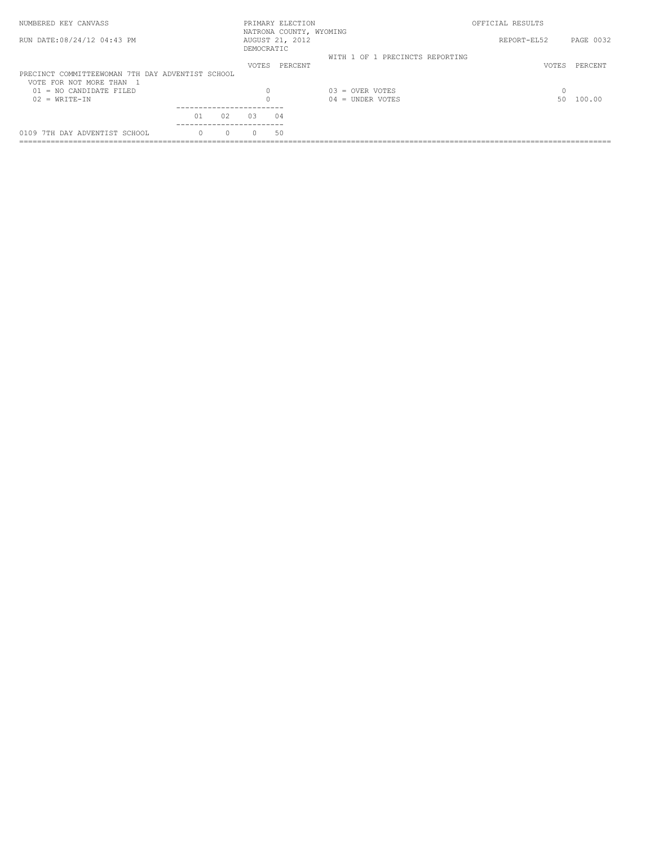| NUMBERED KEY CANVASS                             |          |              | PRIMARY ELECTION<br>NATRONA COUNTY, WYOMING |                                 | OFFICIAL RESULTS |           |
|--------------------------------------------------|----------|--------------|---------------------------------------------|---------------------------------|------------------|-----------|
| RUN DATE: 08/24/12 04:43 PM                      |          | DEMOCRATIC   | AUGUST 21, 2012                             |                                 | REPORT-EL52      | PAGE 0032 |
|                                                  |          |              |                                             | WITH 1 OF 1 PRECINCTS REPORTING |                  |           |
|                                                  |          | <b>VOTES</b> | PERCENT                                     |                                 | <b>VOTES</b>     | PERCENT   |
| PRECINCT COMMITTEEWOMAN 7TH DAY ADVENTIST SCHOOL |          |              |                                             |                                 |                  |           |
| VOTE FOR NOT MORE THAN 1                         |          |              |                                             |                                 |                  |           |
| $01 = NO$ CANDIDATE FILED                        |          |              |                                             | $03 =$ OVER VOTES               |                  |           |
| $02 = WRTT E - TN$                               |          |              |                                             | $04 =$ UNDER VOTES              | 50.              | 100.00    |
|                                                  |          |              |                                             |                                 |                  |           |
|                                                  | 01<br>02 | 0.3          | 04                                          |                                 |                  |           |
| 0109 7TH DAY ADVENTIST SCHOOL                    |          | $\Omega$     | .50                                         |                                 |                  |           |
|                                                  |          |              |                                             |                                 |                  |           |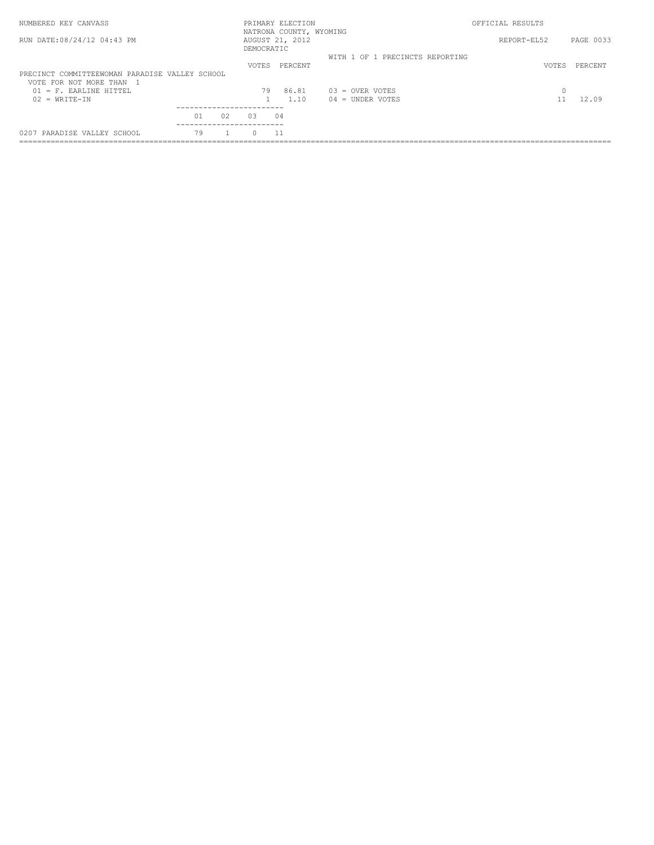| NUMBERED KEY CANVASS                           |            | PRIMARY ELECTION<br>NATRONA COUNTY, WYOMING |                                 | OFFICIAL RESULTS |           |
|------------------------------------------------|------------|---------------------------------------------|---------------------------------|------------------|-----------|
| RUN DATE: 08/24/12 04:43 PM                    | DEMOCRATIC | AUGUST 21, 2012                             |                                 | REPORT-EL52      | PAGE 0033 |
|                                                |            |                                             | WITH 1 OF 1 PRECINCTS REPORTING |                  |           |
|                                                | VOTES      | PERCENT                                     |                                 | <b>VOTES</b>     | PERCENT   |
| PRECINCT COMMITTEEWOMAN PARADISE VALLEY SCHOOL |            |                                             |                                 |                  |           |
| VOTE FOR NOT MORE THAN 1                       |            |                                             |                                 |                  |           |
| $01$ = F. EARLINE HITTEL                       | 79         | 86.81                                       | $03 =$ OVER VOTES               | $\Omega$         |           |
| $02 = WRTT E - TN$                             |            | 1.10                                        | $04 =$ UNDER VOTES              |                  | 12.09     |
|                                                |            |                                             |                                 |                  |           |
| 01<br>02                                       | 0.3        | 04                                          |                                 |                  |           |
|                                                |            |                                             |                                 |                  |           |
| 79<br>0207 PARADISE VALLEY SCHOOL              | $\cap$     | 11                                          |                                 |                  |           |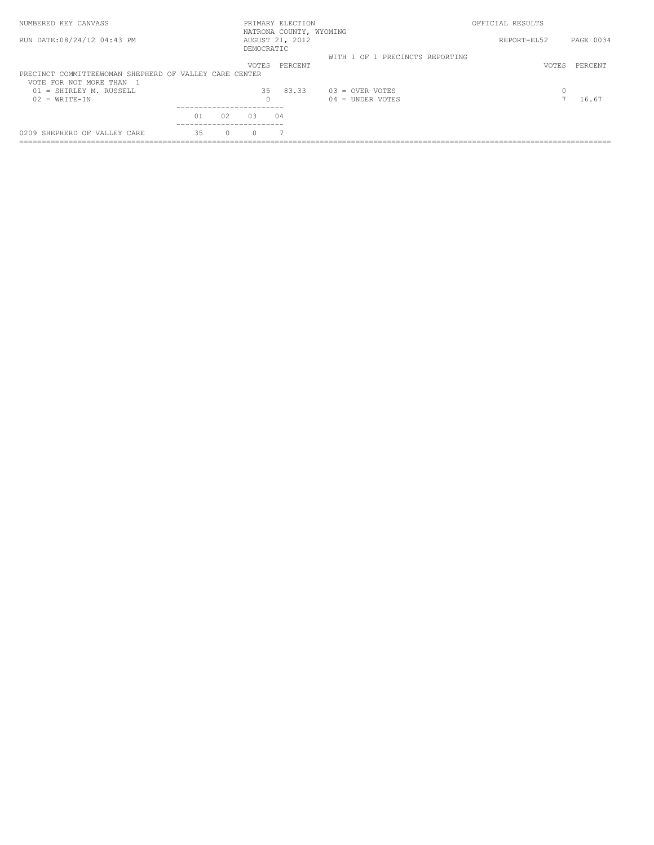| PAGE 0034 |
|-----------|
|           |
| PERCENT   |
|           |
|           |
|           |
| 16.67     |
|           |
|           |
|           |
|           |
| VOTES     |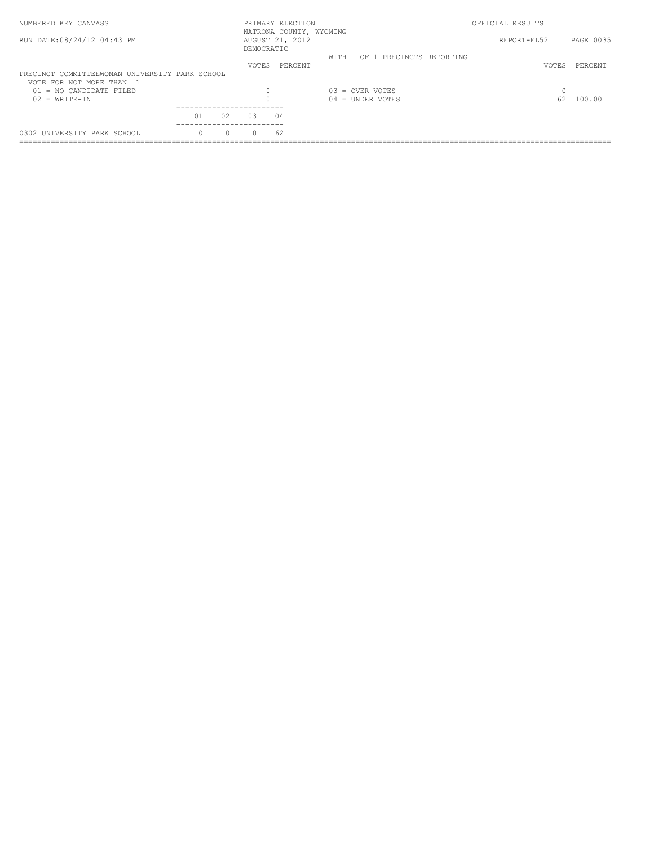| NUMBERED KEY CANVASS                           |    |    |              | PRIMARY ELECTION<br>NATRONA COUNTY, WYOMING |                                 | OFFICIAL RESULTS |           |
|------------------------------------------------|----|----|--------------|---------------------------------------------|---------------------------------|------------------|-----------|
| RUN DATE: 08/24/12 04:43 PM                    |    |    | DEMOCRATIC   | AUGUST 21, 2012                             |                                 | REPORT-EL52      | PAGE 0035 |
|                                                |    |    |              |                                             | WITH 1 OF 1 PRECINCTS REPORTING |                  |           |
|                                                |    |    | <b>VOTES</b> | PERCENT                                     |                                 | VOTES            | PERCENT   |
| PRECINCT COMMITTEEWOMAN UNIVERSITY PARK SCHOOL |    |    |              |                                             |                                 |                  |           |
| VOTE FOR NOT MORE THAN 1                       |    |    |              |                                             |                                 |                  |           |
| $01 = NO$ CANDIDATE FILED                      |    |    | $\Omega$     |                                             | $0.3$ = OVER VOTES              |                  |           |
| $02 = WRTTE-TN$                                |    |    |              |                                             | = UNDER VOTES<br>04             | 62               | 100.00    |
|                                                |    |    |              |                                             |                                 |                  |           |
|                                                | 01 | 02 | 0.3          | 04                                          |                                 |                  |           |
| 0302 UNIVERSITY PARK SCHOOL                    |    |    | $\Omega$     | 62                                          |                                 |                  |           |
|                                                |    |    |              |                                             |                                 |                  |           |
|                                                |    |    |              |                                             |                                 |                  |           |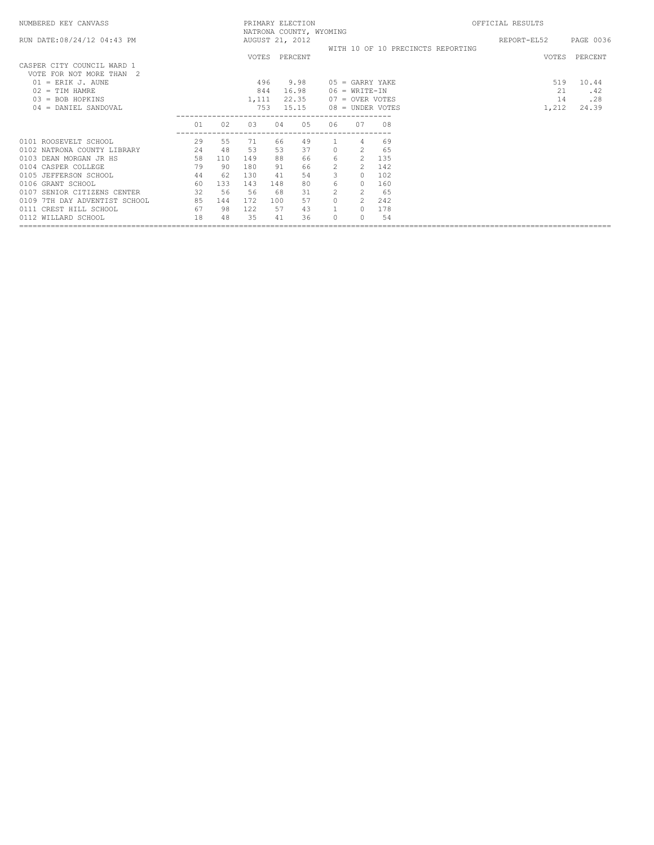| NUMBERED KEY CANVASS          |    |     |       |     | PRIMARY ELECTION<br>NATRONA COUNTY, WYOMING |                |                          |                  |                                   | OFFICIAL RESULTS |           |
|-------------------------------|----|-----|-------|-----|---------------------------------------------|----------------|--------------------------|------------------|-----------------------------------|------------------|-----------|
| RUN DATE:08/24/12 04:43 PM    |    |     |       |     | AUGUST 21, 2012                             |                |                          |                  |                                   | REPORT-EL52      | PAGE 0036 |
|                               |    |     |       |     |                                             |                |                          |                  | WITH 10 OF 10 PRECINCTS REPORTING |                  |           |
| CASPER CITY COUNCIL WARD 1    |    |     |       |     | VOTES PERCENT                               |                |                          |                  |                                   | VOTES            | PERCENT   |
| VOTE FOR NOT MORE THAN 2      |    |     |       |     |                                             |                |                          |                  |                                   |                  |           |
| $01$ = ERIK J. AUNE           |    |     | 496   |     | 9.98                                        |                | $05 = \text{GARRY YAKE}$ |                  |                                   | 519              | 10.44     |
| $02 = TIM HAMRE$              |    |     | 844   |     | 16.98                                       |                | $06 = WRTTE-IN$          |                  |                                   | 21               | .42       |
| $03 = BOB HOPKINS$            |    |     | 1,111 |     | 22.35                                       |                | 07 = OVER VOTES          |                  |                                   | 14               | .28       |
| $04 =$ DANIEL SANDOVAL        |    |     | 753   |     | 15.15                                       |                |                          | 08 = UNDER VOTES |                                   | 1,212            | 24.39     |
|                               | 01 | 02  | 03    | 04  | 05                                          | 06             | 07                       | 08               |                                   |                  |           |
| 0101 ROOSEVELT SCHOOL         | 29 | 55  | 71    | 66  | 49                                          |                | 4                        | 69               |                                   |                  |           |
| 0102 NATRONA COUNTY LIBRARY   | 24 | 48  | 53    | 53  | 37                                          | $\Omega$       | $\mathcal{L}$            | 65               |                                   |                  |           |
| 0103 DEAN MORGAN JR HS        | 58 | 110 | 149   | 88  | 66                                          | 6              | $\mathcal{L}$            | 135              |                                   |                  |           |
| 0104 CASPER COLLEGE           | 79 | 90  | 180   | 91  | 66                                          | $\overline{2}$ | $\mathcal{L}$            | 142              |                                   |                  |           |
| 0105 JEFFERSON SCHOOL         | 44 | 62  | 130   | 41  | 54                                          | 3              | $\Omega$                 | 102              |                                   |                  |           |
| 0106 GRANT SCHOOL             | 60 | 133 | 143   | 148 | 80                                          | 6              | $\Omega$                 | 160              |                                   |                  |           |
| 0107 SENIOR CITIZENS CENTER   | 32 | 56  | 56    | 68  | 31                                          | $\mathcal{L}$  |                          | 65               |                                   |                  |           |
| 0109 7TH DAY ADVENTIST SCHOOL | 85 | 144 | 172   | 100 | 57                                          | $\Omega$       |                          | 242              |                                   |                  |           |
| 0111 CREST HILL SCHOOL        | 67 | 98  | 122   | 57  | 43                                          |                | $\Omega$                 | 178              |                                   |                  |           |
| 0112 WILLARD SCHOOL           | 18 | 48  | 35    | 41  | 36                                          | $\cap$         | $\Omega$                 | 54               |                                   |                  |           |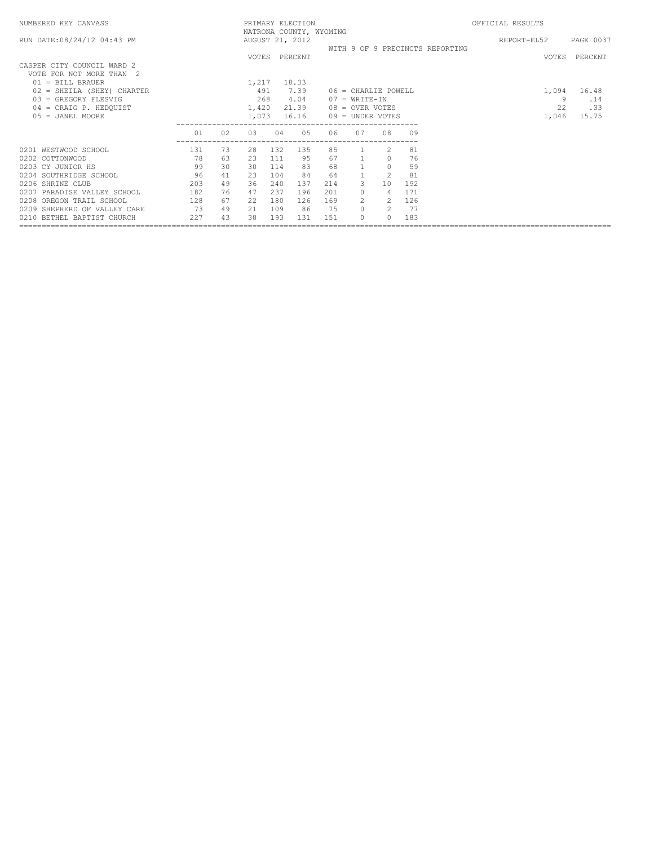| NUMBERED KEY CANVASS                                                            |           |          |                     |            | PRIMARY ELECTION<br>NATRONA COUNTY, WYOMING |           |                                          |               |           |                                 | OFFICIAL RESULTS |              |
|---------------------------------------------------------------------------------|-----------|----------|---------------------|------------|---------------------------------------------|-----------|------------------------------------------|---------------|-----------|---------------------------------|------------------|--------------|
| RUN DATE: 08/24/12 04:43 PM                                                     |           |          |                     |            | AUGUST 21, 2012                             |           |                                          |               |           | WITH 9 OF 9 PRECINCTS REPORTING | REPORT-EL52      | PAGE 0037    |
| CASPER CITY COUNCIL WARD 2<br>VOTE FOR NOT MORE THAN 2                          |           |          |                     |            | VOTES PERCENT                               |           |                                          |               |           |                                 | <b>VOTES</b>     | PERCENT      |
| $01 = \text{BILL}$ BRAUER<br>02 = SHEILA (SHEY) CHARTER<br>03 = GREGORY FLESVIG |           |          | 1,217<br>491<br>268 |            | 18.33<br>7.39<br>4.04                       |           | $06 =$ CHARLIE POWELL<br>$07 = WRTTE-IN$ |               |           |                                 | 1,094<br>9       | 16.48<br>.14 |
| 04 = CRAIG P. HEDQUIST<br>$05 = JANEL MOORE$                                    |           |          | 1,420<br>1,073      |            | 21.39<br>16.16                              |           | 08 = OVER VOTES<br>09 = UNDER VOTES      |               |           |                                 | 22<br>1,046      | .33<br>15.75 |
|                                                                                 | 01        | 02       | 03                  | 04         | 05                                          | 06        | 07                                       | 08            | 09        |                                 |                  |              |
| 0201 WESTWOOD SCHOOL<br>0202 COTTONWOOD                                         | 131<br>78 | 73<br>63 | 28<br>23            | 132<br>111 | 135<br>95                                   | 85<br>67  |                                          | 2<br>$\circ$  | 81<br>76  |                                 |                  |              |
| 0203 CY JUNIOR HS<br>0204 SOUTHRIDGE SCHOOL                                     | 99<br>96  | 30<br>41 | 30<br>23            | 114<br>104 | 83<br>84                                    | 68<br>-64 |                                          | $\circ$<br>2  | 59<br>81  |                                 |                  |              |
| 0206 SHRINE CLUB                                                                | 203       | 49       | 36                  | 240        | 137                                         | 214       | 3                                        | 10            | 192       |                                 |                  |              |
| 0207 PARADISE VALLEY SCHOOL                                                     | 182       | 76       | 47                  | 237        | 196                                         | 201       |                                          | 4             | 171       |                                 |                  |              |
| 0208 OREGON TRAIL SCHOOL                                                        | 128       | 67       | 22                  | 180        | 126                                         | 169       |                                          | 2             | 126       |                                 |                  |              |
| 0209 SHEPHERD OF VALLEY CARE<br>0210 BETHEL BAPTIST CHURCH                      | 73<br>227 | 49<br>43 | 21<br>38            | 109<br>193 | 86<br>131                                   | 75<br>151 |                                          | 2<br>$\Omega$ | 77<br>183 |                                 |                  |              |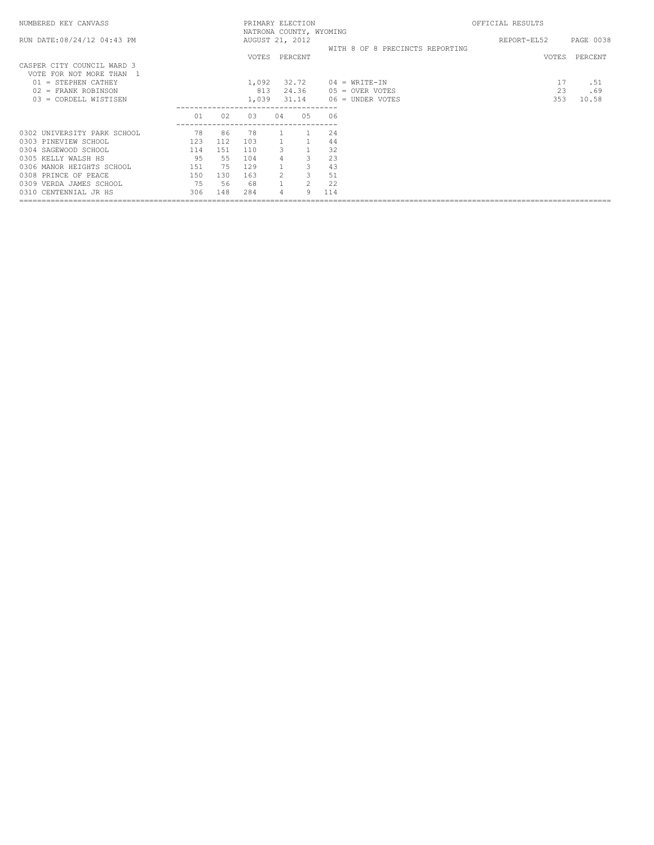| NATRONA COUNTY, WYOMING<br>RUN DATE: 08/24/12 04:43 PM<br>AUGUST 21, 2012<br>REPORT-EL52<br>WITH 8 OF 8 PRECINCTS REPORTING | PAGE 0038 |
|-----------------------------------------------------------------------------------------------------------------------------|-----------|
|                                                                                                                             |           |
| VOTES PERCENT<br>VOTES PERCENT                                                                                              |           |
| CASPER CITY COUNCIL WARD 3<br>VOTE FOR NOT MORE THAN 1                                                                      |           |
| 32.72<br>17<br>$01 =$ STEPHEN CATHEY<br>1,092<br>$04 = \text{WRTTE} - \text{IN}$                                            | .51       |
| 23<br>813<br>24.36<br>$02$ = FRANK ROBINSON<br>$05 =$ OVER VOTES                                                            | .69       |
| 353<br>03 = CORDELL WISTISEN<br>1,039<br>31.14<br>06 = UNDER VOTES                                                          | 10.58     |
| 01<br>02<br>03<br>04<br>05<br>06                                                                                            |           |
| 78<br>86<br>24<br>0302 UNIVERSITY PARK SCHOOL<br>-78                                                                        |           |
| 0303 PINEVIEW SCHOOL<br>123<br>112<br>103<br>44                                                                             |           |
| $\mathbf{1}$<br>32<br>$\mathcal{L}$<br>110<br>0304 SAGEWOOD SCHOOL<br>114<br>151                                            |           |
| 3<br>23<br>95<br>0305 KELLY WALSH HS<br>55<br>104                                                                           |           |
| 3<br>43<br>151<br>75<br>0306 MANOR HEIGHTS SCHOOL<br>129                                                                    |           |
| 3<br>$\mathcal{P}$<br>51<br>150<br>163<br>0308 PRINCE OF PEACE<br>130                                                       |           |
| $\overline{2}$<br>75<br>22<br>56<br>0309 VERDA JAMES SCHOOL<br>-68                                                          |           |
| 306<br>9<br>0310 CENTENNIAL JR HS<br>148<br>284<br>114                                                                      |           |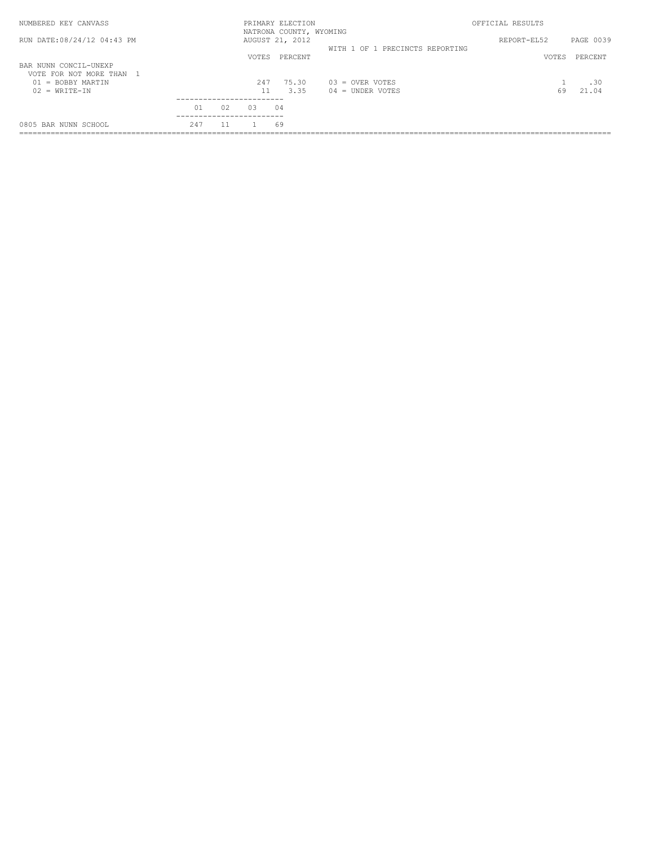| NUMBERED KEY CANVASS                              |     |    |              | PRIMARY ELECTION<br>NATRONA COUNTY, WYOMING |                                 | OFFICIAL RESULTS |           |
|---------------------------------------------------|-----|----|--------------|---------------------------------------------|---------------------------------|------------------|-----------|
| RUN DATE: 08/24/12 04:43 PM                       |     |    |              | AUGUST 21, 2012                             | WITH 1 OF 1 PRECINCTS REPORTING | REPORT-EL52      | PAGE 0039 |
|                                                   |     |    | <b>VOTES</b> | PERCENT                                     |                                 | VOTES            | PERCENT   |
| BAR NUNN CONCIL-UNEXP<br>VOTE FOR NOT MORE THAN 1 |     |    |              |                                             |                                 |                  |           |
| = BOBBY MARTIN<br>01                              |     |    | 247          | 75.30                                       | $0.3$ = OVER VOTES              |                  | .30       |
| $02 = WRTTE-TN$                                   |     |    |              | 3.35                                        | $04 =$ UNDER VOTES              | 69               | 21.04     |
|                                                   | 01  | 02 | 0.3          | 04                                          |                                 |                  |           |
| 0805 BAR NUNN SCHOOL                              | 247 |    |              | 69                                          |                                 |                  |           |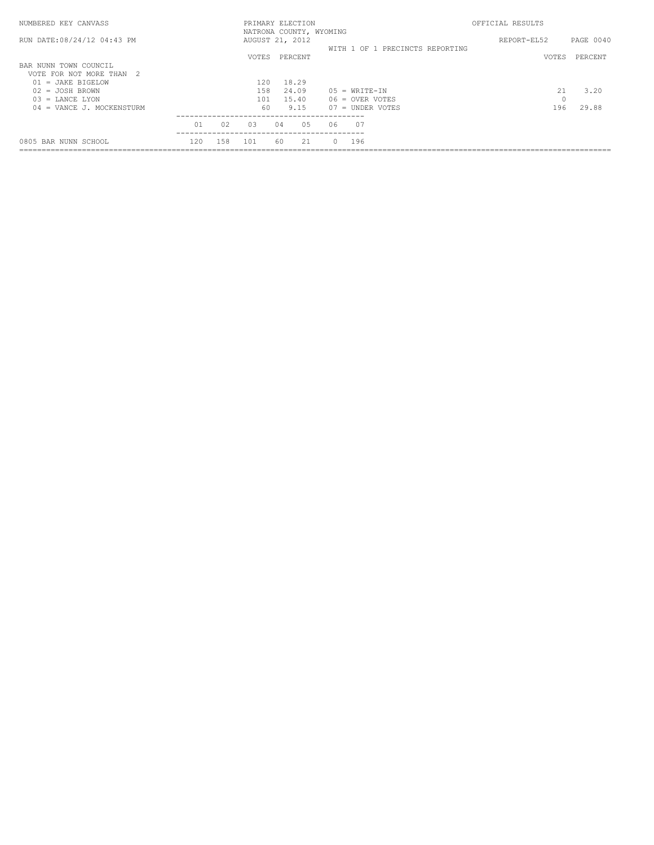| NUMBERED KEY CANVASS                                  |     |     | PRIMARY ELECTION<br>NATRONA COUNTY, WYOMING |    |                |        |                    |                                 | OFFICIAL RESULTS |          |           |
|-------------------------------------------------------|-----|-----|---------------------------------------------|----|----------------|--------|--------------------|---------------------------------|------------------|----------|-----------|
| RUN DATE: 08/24/12 04:43 PM                           |     |     | AUGUST 21, 2012                             |    |                |        |                    | WITH 1 OF 1 PRECINCTS REPORTING | REPORT-EL52      |          | PAGE 0040 |
|                                                       |     |     | <b>VOTES</b>                                |    | PERCENT        |        |                    |                                 |                  | VOTES    | PERCENT   |
| BAR NUNN TOWN COUNCIL<br>-2<br>VOTE FOR NOT MORE THAN |     |     |                                             |    |                |        |                    |                                 |                  |          |           |
| JAKE BIGELOW<br>01<br>$=$<br>JOSH BROWN<br>02.<br>$=$ |     |     | 120<br>158                                  |    | 18.29<br>24.09 |        | $05 = WRTTE-TN$    |                                 |                  | 21       | 3.20      |
| LANCE LYON<br>03<br>$=$                               |     |     | 101                                         |    | 15.40          |        | $06 =$ OVER VOTES  |                                 |                  | $\Omega$ |           |
| 04 = VANCE J. MOCKENSTURM                             |     |     | 60                                          |    | 9.15           |        | $07 =$ UNDER VOTES |                                 |                  | 196      | 29.88     |
|                                                       | 01  | 02  | 0.3                                         | 04 | 0.5            | 06     | 07                 |                                 |                  |          |           |
| 0805 BAR NUNN SCHOOL                                  | 120 | 158 | 1 0 1                                       | 60 | 21             | $\cap$ | 196                |                                 |                  |          |           |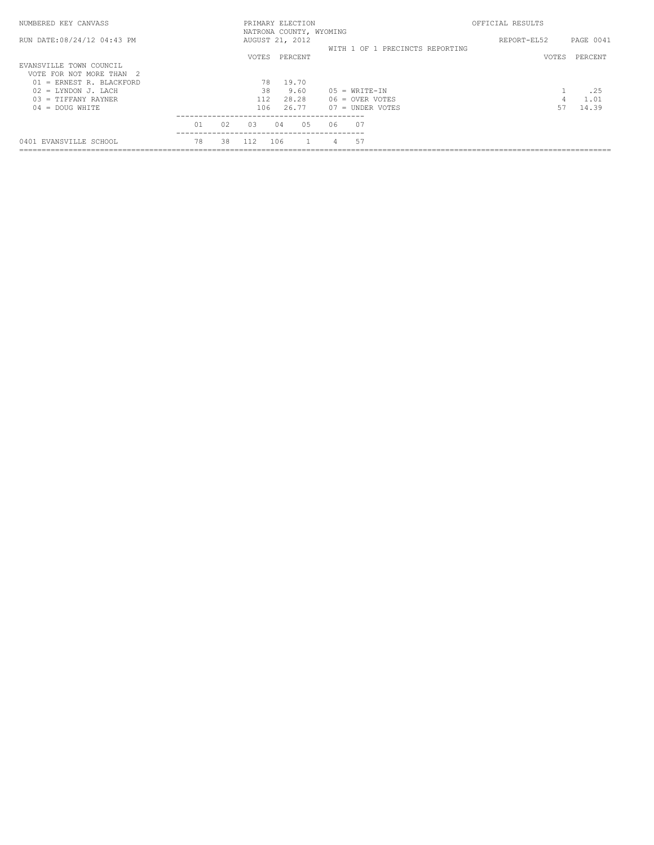| NUMBERED KEY CANVASS                                                |                     |    |              | PRIMARY ELECTION<br>NATRONA COUNTY, WYOMING |     |                                  |                                         | OFFICIAL RESULTS |         |               |
|---------------------------------------------------------------------|---------------------|----|--------------|---------------------------------------------|-----|----------------------------------|-----------------------------------------|------------------|---------|---------------|
| RUN DATE: 08/24/12 04:43 PM                                         |                     |    |              | AUGUST 21, 2012                             |     |                                  | WITH 1 OF 1 PRECINCTS REPORTING         | REPORT-EL52      |         | PAGE 0041     |
| EVANSVILLE TOWN COUNCIL                                             |                     |    | <b>VOTES</b> | PERCENT                                     |     |                                  |                                         |                  | VOTES   | PERCENT       |
| VOTE FOR NOT MORE THAN<br>ERNEST R. BLACKFORD<br>01<br>$\alpha = 1$ |                     |    | 78           | 19.70                                       |     |                                  |                                         |                  |         |               |
| $02 = LYNDOM J. LACH$                                               |                     |    | 38           | 9.60                                        |     |                                  | $05 = WRTTE-TN$                         |                  |         | .25           |
| $03 = TIFFANY RAYNER$<br>DOUG WHITE<br>$04 =$                       |                     |    | 106          | 28.28<br>26.77                              |     |                                  | $06 =$ OVER VOTES<br>$07 =$ UNDER VOTES |                  | 4<br>57 | 1.01<br>14.39 |
|                                                                     | _____________<br>01 | 02 | 0.3          | 04                                          | 0.5 | --------------------------<br>06 |                                         |                  |         |               |
| 0401 EVANSVILLE SCHOOL                                              | 78                  | 38 |              | 106                                         |     |                                  | 57                                      |                  |         |               |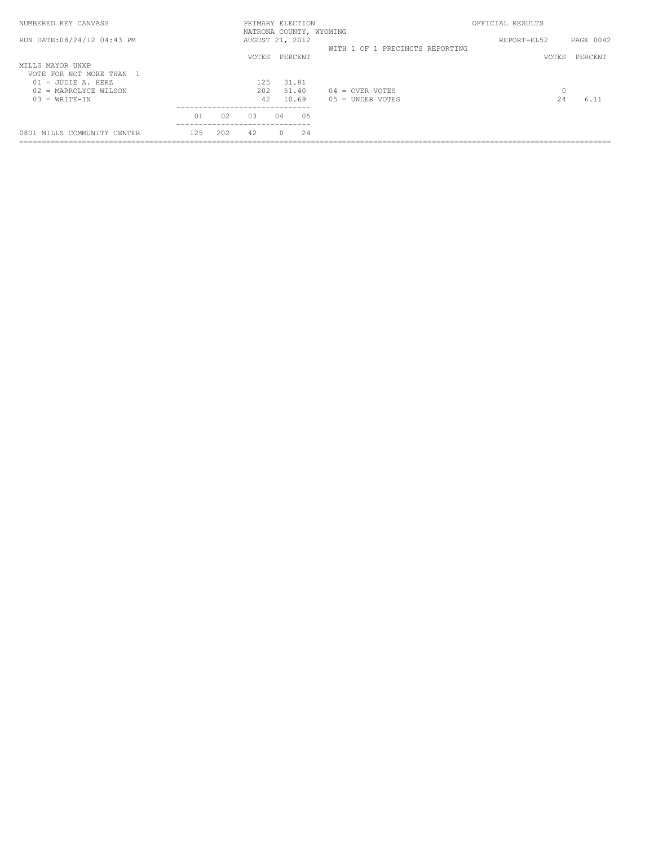| NUMBERED KEY CANVASS                                                                                             |     |     |                    |    | PRIMARY ELECTION<br>NATRONA COUNTY, WYOMING |                                         | OFFICIAL RESULTS |           |
|------------------------------------------------------------------------------------------------------------------|-----|-----|--------------------|----|---------------------------------------------|-----------------------------------------|------------------|-----------|
| RUN DATE:08/24/12 04:43 PM                                                                                       |     |     |                    |    | AUGUST 21, 2012                             | WITH 1 OF 1 PRECINCTS REPORTING         | REPORT-EL52      | PAGE 0042 |
|                                                                                                                  |     |     | VOTES.             |    | PERCENT                                     |                                         | VOTES            | PERCENT   |
| MILLS MAYOR UNXP<br>VOTE FOR NOT MORE THAN 1<br>$01 = JUDIE A. HERZ$<br>02 = MARROLYCE WILSON<br>$03 = WRITE-TN$ |     |     | 125<br>2.02.<br>42 |    | 31.81<br>51.40<br>10.69                     | $04 =$ OVER VOTES<br>$05 =$ UNDER VOTES | 0<br>2.4         | 6.11      |
|                                                                                                                  | 01  | 02  | 0.3                | 04 | 0.5                                         |                                         |                  |           |
| 0801 MILLS COMMUNITY CENTER                                                                                      | 125 | 202 | 42                 |    | 24                                          |                                         |                  |           |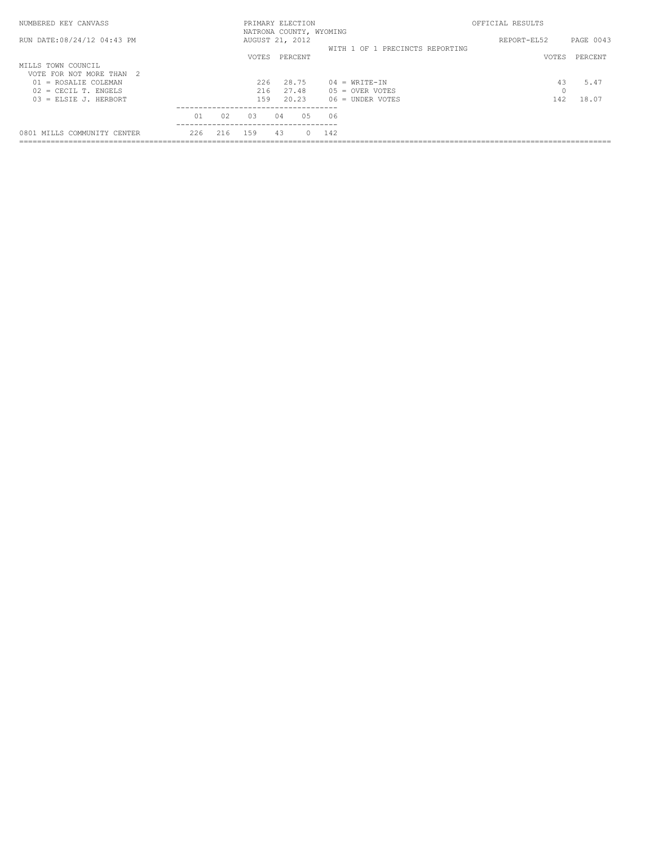| NUMBERED KEY CANVASS          |     |     | PRIMARY ELECTION                           |    |         |     |                                 | OFFICIAL RESULTS |           |
|-------------------------------|-----|-----|--------------------------------------------|----|---------|-----|---------------------------------|------------------|-----------|
| RUN DATE: 08/24/12 04:43 PM   |     |     | NATRONA COUNTY, WYOMING<br>AUGUST 21, 2012 |    |         |     | WITH 1 OF 1 PRECINCTS REPORTING | REPORT-EL52      | PAGE 0043 |
| MILLS TOWN COUNCIL            |     |     | VOTES.                                     |    | PERCENT |     |                                 | VOTES            | PERCENT   |
| VOTE FOR NOT MORE THAN<br>- 2 |     |     |                                            |    |         |     |                                 |                  |           |
| $01$ = ROSALIE COLEMAN        |     |     | 226                                        |    | 28.75   |     | $04 = WRTT F - TN$              | 43               | 5.47      |
| $02$ = CECIL T. ENGELS        |     |     | 216                                        |    | 27.48   |     | $05 =$ OVER VOTES               | $\Omega$         |           |
| $03$ = ELSIE J. HERBORT       |     |     | 159                                        |    | 20.23   |     | $06 =$ UNDER VOTES              | 142              | 18.07     |
|                               | 01  | 02  | 03                                         | 04 | 0.5     | 06  |                                 |                  |           |
| 0801 MILLS COMMUNITY CENTER   | 226 | 216 | 159                                        | 43 | O.      | 142 |                                 |                  |           |